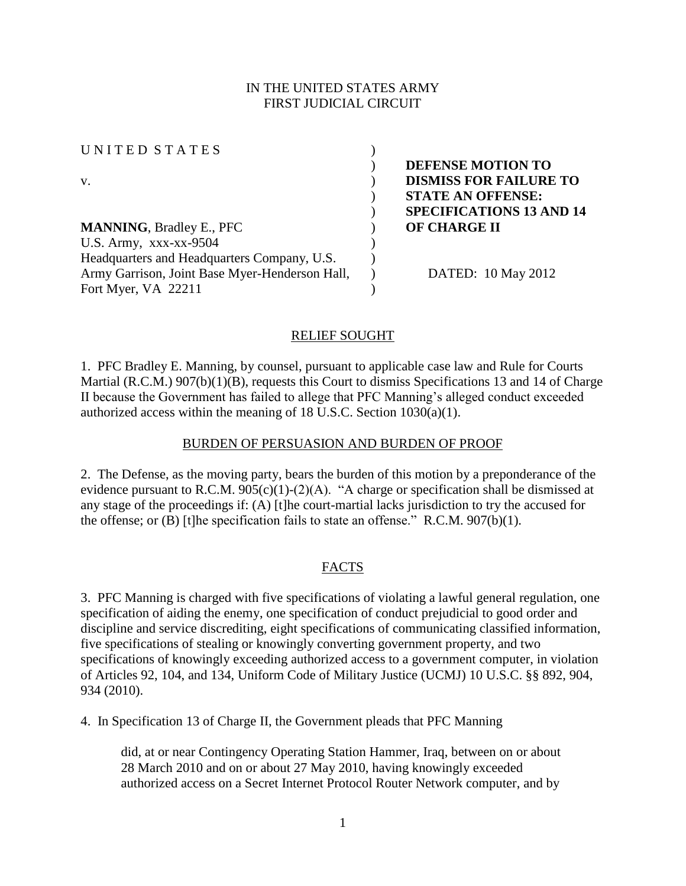### IN THE UNITED STATES ARMY FIRST JUDICIAL CIRCUIT

U N I T E D S T A T E S  $($ ) **DEFENSE MOTION TO**  v. ) **DISMISS FOR FAILURE TO**  ) **STATE AN OFFENSE: MANNING**, Bradley E., PFC ) **OF CHARGE II** U.S. Army,  $XXX-XX-9504$  ) Headquarters and Headquarters Company, U.S. Army Garrison, Joint Base Myer-Henderson Hall, Fort Myer, VA 22211 ) ) DATED: 10 May 2012 )

) **SPECIFICATIONS 13 AND 14** 

### RELIEF SOUGHT

1. PFC Bradley E. Manning, by counsel, pursuant to applicable case law and Rule for Courts Martial (R.C.M.) 907(b)(1)(B), requests this Court to dismiss Specifications 13 and 14 of Charge II because the Government has failed to allege that PFC Manning's alleged conduct exceeded authorized access within the meaning of 18 U.S.C. Section  $1030(a)(1)$ .

#### BURDEN OF PERSUASION AND BURDEN OF PROOF

2. The Defense, as the moving party, bears the burden of this motion by a preponderance of the evidence pursuant to R.C.M.  $905(c)(1)-(2)(A)$ . "A charge or specification shall be dismissed at any stage of the proceedings if: (A) [t]he court-martial lacks jurisdiction to try the accused for the offense; or (B) [t]he specification fails to state an offense." R.C.M. 907(b)(1).

### FACTS

3. PFC Manning is charged with five specifications of violating a lawful general regulation, one specification of aiding the enemy, one specification of conduct prejudicial to good order and discipline and service discrediting, eight specifications of communicating classified information, five specifications of stealing or knowingly converting government property, and two specifications of knowingly exceeding authorized access to a government computer, in violation of Articles 92, 104, and 134, Uniform Code of Military Justice (UCMJ) 10 U.S.C. §§ 892, 904, 934 (2010).

4. In Specification 13 of Charge II, the Government pleads that PFC Manning

did, at or near Contingency Operating Station Hammer, Iraq, between on or about 28 March 2010 and on or about 27 May 2010, having knowingly exceeded authorized access on a Secret Internet Protocol Router Network computer, and by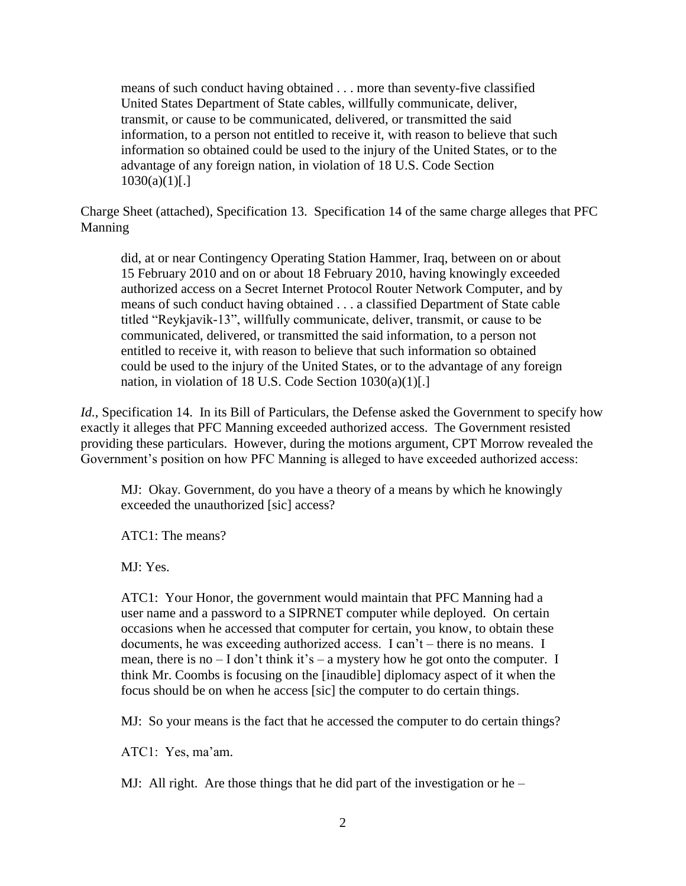means of such conduct having obtained . . . more than seventy-five classified United States Department of State cables, willfully communicate, deliver, transmit, or cause to be communicated, delivered, or transmitted the said information, to a person not entitled to receive it, with reason to believe that such information so obtained could be used to the injury of the United States, or to the advantage of any foreign nation, in violation of 18 U.S. Code Section  $1030(a)(1)[.]$ 

Charge Sheet (attached), Specification 13. Specification 14 of the same charge alleges that PFC Manning

did, at or near Contingency Operating Station Hammer, Iraq, between on or about 15 February 2010 and on or about 18 February 2010, having knowingly exceeded authorized access on a Secret Internet Protocol Router Network Computer, and by means of such conduct having obtained . . . a classified Department of State cable titled "Reykjavik-13", willfully communicate, deliver, transmit, or cause to be communicated, delivered, or transmitted the said information, to a person not entitled to receive it, with reason to believe that such information so obtained could be used to the injury of the United States, or to the advantage of any foreign nation, in violation of 18 U.S. Code Section 1030(a)(1)[.]

*Id.*, Specification 14. In its Bill of Particulars, the Defense asked the Government to specify how exactly it alleges that PFC Manning exceeded authorized access. The Government resisted providing these particulars. However, during the motions argument, CPT Morrow revealed the Government's position on how PFC Manning is alleged to have exceeded authorized access:

MJ: Okay. Government, do you have a theory of a means by which he knowingly exceeded the unauthorized [sic] access?

ATC1: The means?

MJ: Yes.

ATC1: Your Honor, the government would maintain that PFC Manning had a user name and a password to a SIPRNET computer while deployed. On certain occasions when he accessed that computer for certain, you know, to obtain these documents, he was exceeding authorized access. I can't – there is no means. I mean, there is no  $-1$  don't think it's  $-$  a mystery how he got onto the computer. I think Mr. Coombs is focusing on the [inaudible] diplomacy aspect of it when the focus should be on when he access [sic] the computer to do certain things.

MJ: So your means is the fact that he accessed the computer to do certain things?

ATC1: Yes, ma'am.

MJ: All right. Are those things that he did part of the investigation or he –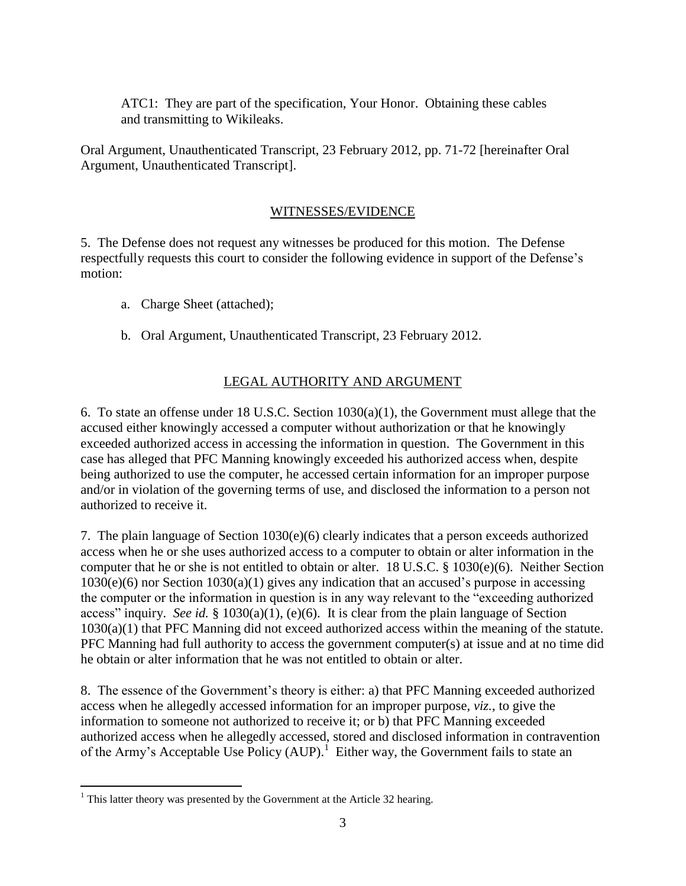ATC1: They are part of the specification, Your Honor. Obtaining these cables and transmitting to Wikileaks.

Oral Argument, Unauthenticated Transcript, 23 February 2012, pp. 71-72 [hereinafter Oral Argument, Unauthenticated Transcript].

### WITNESSES/EVIDENCE

5. The Defense does not request any witnesses be produced for this motion. The Defense respectfully requests this court to consider the following evidence in support of the Defense's motion:

- a. Charge Sheet (attached);
- b. Oral Argument, Unauthenticated Transcript, 23 February 2012.

# LEGAL AUTHORITY AND ARGUMENT

6. To state an offense under 18 U.S.C. Section 1030(a)(1), the Government must allege that the accused either knowingly accessed a computer without authorization or that he knowingly exceeded authorized access in accessing the information in question. The Government in this case has alleged that PFC Manning knowingly exceeded his authorized access when, despite being authorized to use the computer, he accessed certain information for an improper purpose and/or in violation of the governing terms of use, and disclosed the information to a person not authorized to receive it.

7. The plain language of Section  $1030(e)(6)$  clearly indicates that a person exceeds authorized access when he or she uses authorized access to a computer to obtain or alter information in the computer that he or she is not entitled to obtain or alter. 18 U.S.C. § 1030(e)(6). Neither Section  $1030(e)(6)$  nor Section  $1030(a)(1)$  gives any indication that an accused's purpose in accessing the computer or the information in question is in any way relevant to the "exceeding authorized access" inquiry. *See id.* § 1030(a)(1), (e)(6). It is clear from the plain language of Section 1030(a)(1) that PFC Manning did not exceed authorized access within the meaning of the statute. PFC Manning had full authority to access the government computer(s) at issue and at no time did he obtain or alter information that he was not entitled to obtain or alter.

8. The essence of the Government's theory is either: a) that PFC Manning exceeded authorized access when he allegedly accessed information for an improper purpose, *viz.*, to give the information to someone not authorized to receive it; or b) that PFC Manning exceeded authorized access when he allegedly accessed, stored and disclosed information in contravention of the Army's Acceptable Use Policy (AUP).<sup>1</sup> Either way, the Government fails to state an

 $1$ <sup>1</sup> This latter theory was presented by the Government at the Article 32 hearing.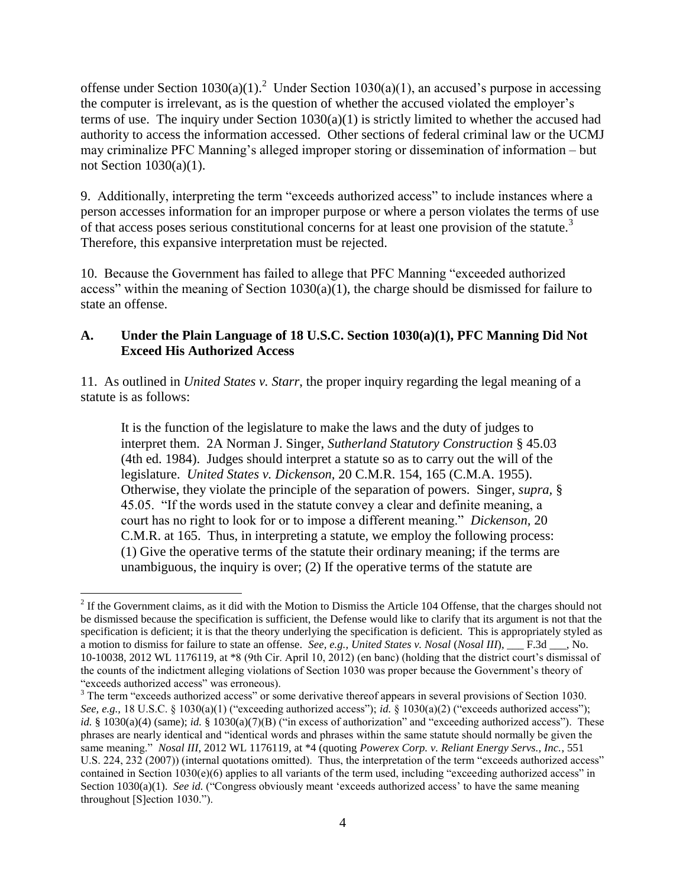offense under Section  $1030(a)(1)$ .<sup>2</sup> Under Section  $1030(a)(1)$ , an accused's purpose in accessing the computer is irrelevant, as is the question of whether the accused violated the employer's terms of use. The inquiry under Section 1030(a)(1) is strictly limited to whether the accused had authority to access the information accessed. Other sections of federal criminal law or the UCMJ may criminalize PFC Manning's alleged improper storing or dissemination of information – but not Section 1030(a)(1).

9. Additionally, interpreting the term "exceeds authorized access" to include instances where a person accesses information for an improper purpose or where a person violates the terms of use of that access poses serious constitutional concerns for at least one provision of the statute.<sup>3</sup> Therefore, this expansive interpretation must be rejected.

10. Because the Government has failed to allege that PFC Manning "exceeded authorized access" within the meaning of Section 1030(a)(1), the charge should be dismissed for failure to state an offense.

## **A. Under the Plain Language of 18 U.S.C. Section 1030(a)(1), PFC Manning Did Not Exceed His Authorized Access**

11. As outlined in *United States v. Starr*, the proper inquiry regarding the legal meaning of a statute is as follows:

It is the function of the legislature to make the laws and the duty of judges to interpret them. 2A Norman J. Singer, *Sutherland Statutory Construction* § 45.03 (4th ed. 1984). Judges should interpret a statute so as to carry out the will of the legislature. *United States [v. Dickenson,](http://www.westlaw.com/Find/Default.wl?rs=dfa1.0&vr=2.0&DB=1443&FindType=Y&ReferencePositionType=S&SerialNum=1955003199&ReferencePosition=165)* [20 C.M.R. 154, 165 \(C.M.A. 1955\).](http://www.westlaw.com/Find/Default.wl?rs=dfa1.0&vr=2.0&DB=1443&FindType=Y&ReferencePositionType=S&SerialNum=1955003199&ReferencePosition=165) Otherwise, they violate the principle of the separation of powers. Singer, *supra,* § 45.05. "If the words used in the statute convey a clear and definite meaning, a court has no right to look for or to impose a different meaning." *[Dickenson,](http://www.westlaw.com/Find/Default.wl?rs=dfa1.0&vr=2.0&DB=1443&FindType=Y&ReferencePositionType=S&SerialNum=1955003199&ReferencePosition=165)* [20](http://www.westlaw.com/Find/Default.wl?rs=dfa1.0&vr=2.0&DB=1443&FindType=Y&ReferencePositionType=S&SerialNum=1955003199&ReferencePosition=165)  [C.M.R. at 165.](http://www.westlaw.com/Find/Default.wl?rs=dfa1.0&vr=2.0&DB=1443&FindType=Y&ReferencePositionType=S&SerialNum=1955003199&ReferencePosition=165) Thus, in interpreting a statute, we employ the following process: (1) Give the operative terms of the statute their ordinary meaning; if the terms are unambiguous, the inquiry is over; (2) If the operative terms of the statute are

 $2<sup>2</sup>$  If the Government claims, as it did with the Motion to Dismiss the Article 104 Offense, that the charges should not be dismissed because the specification is sufficient, the Defense would like to clarify that its argument is not that the specification is deficient; it is that the theory underlying the specification is deficient. This is appropriately styled as a motion to dismiss for failure to state an offense. *See, e.g., United States v. Nosal* (*Nosal III*), \_\_\_ F.3d \_\_\_, No. 10-10038, 2012 WL 1176119, at \*8 (9th Cir. April 10, 2012) (en banc) (holding that the district court's dismissal of the counts of the indictment alleging violations of Section 1030 was proper because the Government's theory of "exceeds authorized access" was erroneous).

<sup>&</sup>lt;sup>3</sup> The term "exceeds authorized access" or some derivative thereof appears in several provisions of Section 1030. *See, e.g.,* 18 U.S.C. § 1030(a)(1) ("exceeding authorized access"); *id.* § 1030(a)(2) ("exceeds authorized access"); *id.* § 1030(a)(4) (same); *id.* § 1030(a)(7)(B) ("in excess of authorization" and "exceeding authorized access"). These phrases are nearly identical and "identical words and phrases within the same statute should normally be given the same meaning." *Nosal III*, 2012 WL 1176119, at \*4 (quoting *Powerex Corp. v. Reliant Energy Servs., Inc.*, 551 U.S. 224, 232 (2007)) (internal quotations omitted). Thus, the interpretation of the term "exceeds authorized access" contained in Section  $1030(e)(6)$  applies to all variants of the term used, including "exceeding authorized access" in Section 1030(a)(1). *See id.* ("Congress obviously meant 'exceeds authorized access' to have the same meaning throughout [S]ection 1030.").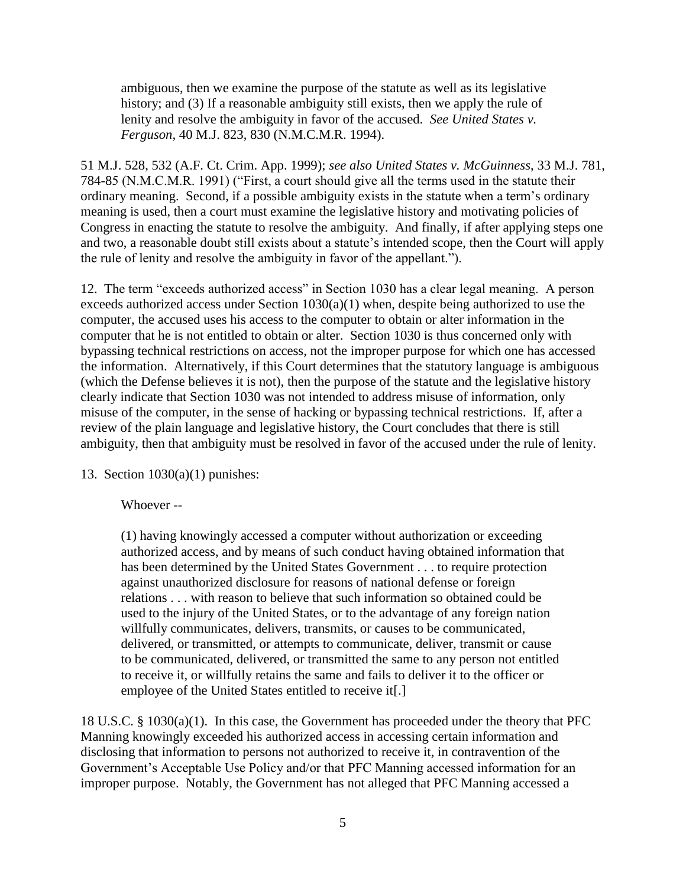ambiguous, then we examine the purpose of the statute as well as its legislative history; and (3) If a reasonable ambiguity still exists, then we apply the rule of lenity and resolve the ambiguity in favor of the accused. *See [United States v.](http://www.westlaw.com/Find/Default.wl?rs=dfa1.0&vr=2.0&DB=509&FindType=Y&ReferencePositionType=S&SerialNum=1994178514&ReferencePosition=830)  [Ferguson,](http://www.westlaw.com/Find/Default.wl?rs=dfa1.0&vr=2.0&DB=509&FindType=Y&ReferencePositionType=S&SerialNum=1994178514&ReferencePosition=830)* [40 M.J. 823, 830 \(N.M.C.M.R. 1994\).](http://www.westlaw.com/Find/Default.wl?rs=dfa1.0&vr=2.0&DB=509&FindType=Y&ReferencePositionType=S&SerialNum=1994178514&ReferencePosition=830)

51 M.J. 528, 532 (A.F. Ct. Crim. App. 1999); *see also United States v. McGuinness*, 33 M.J. 781, 784-85 (N.M.C.M.R. 1991) ("First, a court should give all the terms used in the statute their ordinary meaning. Second, if a possible ambiguity exists in the statute when a term's ordinary meaning is used, then a court must examine the legislative history and motivating policies of Congress in enacting the statute to resolve the ambiguity. And finally, if after applying steps one and two, a reasonable doubt still exists about a statute's intended scope, then the Court will apply the rule of lenity and resolve the ambiguity in favor of the appellant.").

12. The term "exceeds authorized access" in Section 1030 has a clear legal meaning. A person exceeds authorized access under Section 1030(a)(1) when, despite being authorized to use the computer, the accused uses his access to the computer to obtain or alter information in the computer that he is not entitled to obtain or alter. Section 1030 is thus concerned only with bypassing technical restrictions on access, not the improper purpose for which one has accessed the information. Alternatively, if this Court determines that the statutory language is ambiguous (which the Defense believes it is not), then the purpose of the statute and the legislative history clearly indicate that Section 1030 was not intended to address misuse of information, only misuse of the computer, in the sense of hacking or bypassing technical restrictions. If, after a review of the plain language and legislative history, the Court concludes that there is still ambiguity, then that ambiguity must be resolved in favor of the accused under the rule of lenity.

13. Section 1030(a)(1) punishes:

Whoever --

(1) having knowingly accessed a computer without authorization or exceeding authorized access, and by means of such conduct having obtained information that has been determined by the United States Government . . . to require protection against unauthorized disclosure for reasons of national defense or foreign relations . . . with reason to believe that such information so obtained could be used to the injury of the United States, or to the advantage of any foreign nation willfully communicates, delivers, transmits, or causes to be communicated, delivered, or transmitted, or attempts to communicate, deliver, transmit or cause to be communicated, delivered, or transmitted the same to any person not entitled to receive it, or willfully retains the same and fails to deliver it to the officer or employee of the United States entitled to receive it[.]

18 U.S.C. § 1030(a)(1). In this case, the Government has proceeded under the theory that PFC Manning knowingly exceeded his authorized access in accessing certain information and disclosing that information to persons not authorized to receive it, in contravention of the Government's Acceptable Use Policy and/or that PFC Manning accessed information for an improper purpose. Notably, the Government has not alleged that PFC Manning accessed a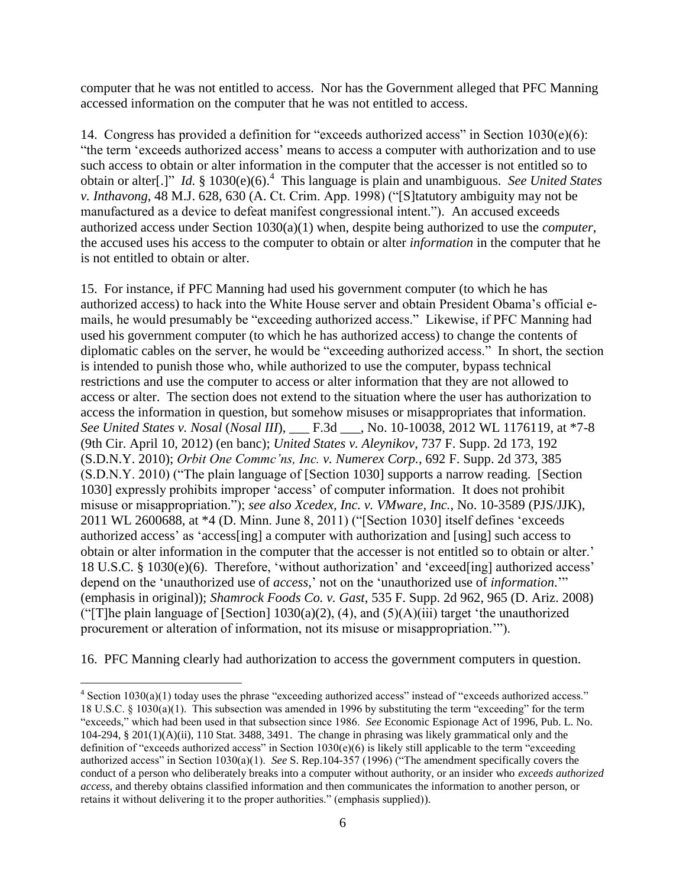computer that he was not entitled to access. Nor has the Government alleged that PFC Manning accessed information on the computer that he was not entitled to access.

14. Congress has provided a definition for "exceeds authorized access" in Section 1030(e)(6): "the term 'exceeds authorized access' means to access a computer with authorization and to use such access to obtain or alter information in the computer that the accesser is not entitled so to obtain or alter[.]" *Id.* § 1030(e)(6).<sup>4</sup> This language is plain and unambiguous. *See United States v. Inthavong*, 48 M.J. 628, 630 (A. Ct. Crim. App. 1998) ("[S]tatutory ambiguity may not be manufactured as a device to defeat manifest congressional intent."). An accused exceeds authorized access under Section 1030(a)(1) when, despite being authorized to use the *computer*, the accused uses his access to the computer to obtain or alter *information* in the computer that he is not entitled to obtain or alter.

15. For instance, if PFC Manning had used his government computer (to which he has authorized access) to hack into the White House server and obtain President Obama's official emails, he would presumably be "exceeding authorized access." Likewise, if PFC Manning had used his government computer (to which he has authorized access) to change the contents of diplomatic cables on the server, he would be "exceeding authorized access." In short, the section is intended to punish those who, while authorized to use the computer, bypass technical restrictions and use the computer to access or alter information that they are not allowed to access or alter. The section does not extend to the situation where the user has authorization to access the information in question, but somehow misuses or misappropriates that information. *See United States v. Nosal* (*Nosal III*), \_\_\_ F.3d \_\_\_, No. 10-10038, 2012 WL 1176119, at \*7-8 (9th Cir. April 10, 2012) (en banc); *United States v. Aleynikov*, 737 F. Supp. 2d 173, 192 (S.D.N.Y. 2010); *Orbit One Commc'ns, Inc. v. Numerex Corp.*, 692 F. Supp. 2d 373, 385 (S.D.N.Y. 2010) ("The plain language of [Section 1030] supports a narrow reading. [Section 1030] expressly prohibits improper 'access' of computer information. It does not prohibit misuse or misappropriation."); *see also Xcedex, Inc. v. VMware, Inc.*, No. 10-3589 (PJS/JJK), 2011 WL 2600688, at \*4 (D. Minn. June 8, 2011) ("[Section 1030] itself defines 'exceeds authorized access' as 'access[ing] a computer with authorization and [using] such access to obtain or alter information in the computer that the accesser is not entitled so to obtain or alter.' [18 U.S.C. § 1030\(e\)\(6\).](http://www.westlaw.com/Find/Default.wl?rs=dfa1.0&vr=2.0&DB=1000546&DocName=18USCAS1030&FindType=L&ReferencePositionType=T&ReferencePosition=SP_71db000052462) Therefore, 'without authorization' and 'exceed[ing] authorized access' depend on the 'unauthorized use of *access*,' not on the 'unauthorized use of *information*.'" (emphasis in original)); *Shamrock Foods Co. v. Gast*, 535 F. Supp. 2d 962, 965 (D. Ariz. 2008) ("[T]he plain language of [Section]  $1030(a)(2)$ , (4), and  $(5)(A)(iii)$  target 'the unauthorized procurement or alteration of information, not its misuse or misappropriation.'").

16. PFC Manning clearly had authorization to access the government computers in question.

 $4$  Section 1030(a)(1) today uses the phrase "exceeding authorized access" instead of "exceeds authorized access." 18 U.S.C. § 1030(a)(1). This subsection was amended in 1996 by substituting the term "exceeding" for the term "exceeds," which had been used in that subsection since 1986. *See* Economic Espionage Act of 1996, Pub. L. No. 104-294,  $\S 201(1)(A)(ii)$ , 110 Stat. 3488, 3491. The change in phrasing was likely grammatical only and the definition of "exceeds authorized access" in Section  $1030(e)(6)$  is likely still applicable to the term "exceeding" authorized access" in Section 1030(a)(1). *See* S. Rep.104-357 (1996) ("The amendment specifically covers the conduct of a person who deliberately breaks into a computer without authority, or an insider who *exceeds authorized access*, and thereby obtains classified information and then communicates the information to another person, or retains it without delivering it to the proper authorities." (emphasis supplied)).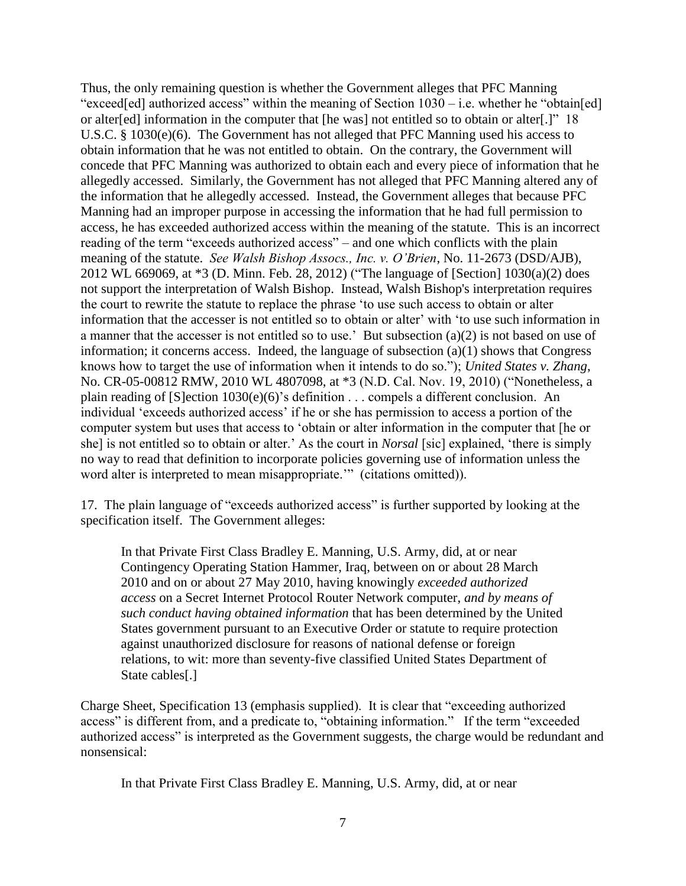Thus, the only remaining question is whether the Government alleges that PFC Manning "exceed[ed] authorized access" within the meaning of Section 1030 – i.e. whether he "obtain[ed] or alter[ed] information in the computer that [he was] not entitled so to obtain or alter[.]" 18 U.S.C. § 1030(e)(6). The Government has not alleged that PFC Manning used his access to obtain information that he was not entitled to obtain. On the contrary, the Government will concede that PFC Manning was authorized to obtain each and every piece of information that he allegedly accessed. Similarly, the Government has not alleged that PFC Manning altered any of the information that he allegedly accessed. Instead, the Government alleges that because PFC Manning had an improper purpose in accessing the information that he had full permission to access, he has exceeded authorized access within the meaning of the statute. This is an incorrect reading of the term "exceeds authorized access" – and one which conflicts with the plain meaning of the statute. *See Walsh Bishop Assocs., Inc. v. O'Brien*, No. 11-2673 (DSD/AJB), 2012 WL 669069, at \*3 (D. Minn. Feb. 28, 2012) ("The language of [\[Section\]](http://www.westlaw.com/Find/Default.wl?rs=dfa1.0&vr=2.0&DB=1000546&DocName=18USCAS1030&FindType=L&ReferencePositionType=T&ReferencePosition=SP_d86d0000be040) [1030\(a\)\(2\)](http://www.westlaw.com/Find/Default.wl?rs=dfa1.0&vr=2.0&DB=1000546&DocName=18USCAS1030&FindType=L&ReferencePositionType=T&ReferencePosition=SP_d86d0000be040) does not support the interpretation of Walsh Bishop. Instead, Walsh Bishop's interpretation requires the court to rewrite the statute to replace the phrase 'to use such access to obtain or alter information that the accesser is not entitled so to obtain or alter' with 'to use such information in a manner that the accesser is not entitled so to use.' But subsection (a)(2) is not based on use of information; it concerns access. Indeed, the language of subsection (a)(1) shows that Congress knows how to target the use of information when it intends to do so."); *United States v. Zhang*, No. CR-05-00812 RMW, 2010 WL 4807098, at \*3 (N.D. Cal. Nov. 19, 2010) ("Nonetheless, a plain reading of [\[S\]ection 1030\(e\)\(6\)'](http://www.westlaw.com/Find/Default.wl?rs=dfa1.0&vr=2.0&DB=1000546&DocName=18USCAS1030&FindType=L&ReferencePositionType=T&ReferencePosition=SP_71db000052462)s definition . . . compels a different conclusion. An individual 'exceeds authorized access' if he or she has permission to access a portion of the computer system but uses that access to 'obtain or alter information in the computer that [he or she] is not entitled so to obtain or alter.' As the court in *Norsal* [sic] explained, 'there is simply no way to read that definition to incorporate policies governing use of information unless the word alter is interpreted to mean misappropriate.'" (citations omitted)).

17. The plain language of "exceeds authorized access" is further supported by looking at the specification itself. The Government alleges:

In that Private First Class Bradley E. Manning, U.S. Army, did, at or near Contingency Operating Station Hammer, Iraq, between on or about 28 March 2010 and on or about 27 May 2010, having knowingly *exceeded authorized access* on a Secret Internet Protocol Router Network computer, *and by means of such conduct having obtained information* that has been determined by the United States government pursuant to an Executive Order or statute to require protection against unauthorized disclosure for reasons of national defense or foreign relations, to wit: more than seventy-five classified United States Department of State cables[.]

Charge Sheet, Specification 13 (emphasis supplied). It is clear that "exceeding authorized access" is different from, and a predicate to, "obtaining information." If the term "exceeded authorized access" is interpreted as the Government suggests, the charge would be redundant and nonsensical:

In that Private First Class Bradley E. Manning, U.S. Army, did, at or near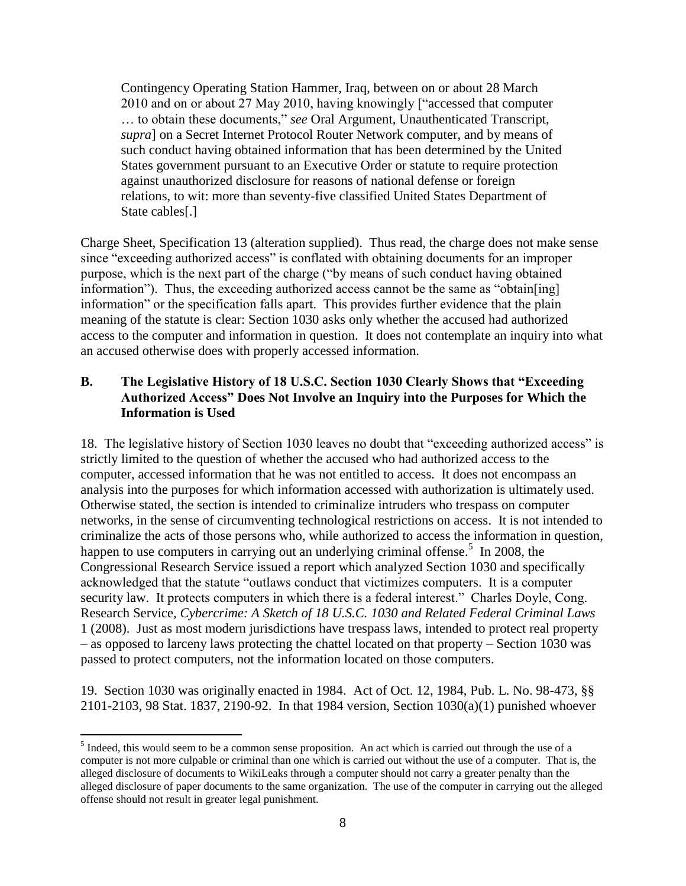Contingency Operating Station Hammer, Iraq, between on or about 28 March 2010 and on or about 27 May 2010, having knowingly ["accessed that computer … to obtain these documents," *see* Oral Argument, Unauthenticated Transcript, *supra*] on a Secret Internet Protocol Router Network computer, and by means of such conduct having obtained information that has been determined by the United States government pursuant to an Executive Order or statute to require protection against unauthorized disclosure for reasons of national defense or foreign relations, to wit: more than seventy-five classified United States Department of State cables[.]

Charge Sheet, Specification 13 (alteration supplied). Thus read, the charge does not make sense since "exceeding authorized access" is conflated with obtaining documents for an improper purpose, which is the next part of the charge ("by means of such conduct having obtained information"). Thus, the exceeding authorized access cannot be the same as "obtain[ing] information" or the specification falls apart. This provides further evidence that the plain meaning of the statute is clear: Section 1030 asks only whether the accused had authorized access to the computer and information in question. It does not contemplate an inquiry into what an accused otherwise does with properly accessed information.

### **B. The Legislative History of 18 U.S.C. Section 1030 Clearly Shows that "Exceeding Authorized Access" Does Not Involve an Inquiry into the Purposes for Which the Information is Used**

18. The legislative history of Section 1030 leaves no doubt that "exceeding authorized access" is strictly limited to the question of whether the accused who had authorized access to the computer, accessed information that he was not entitled to access. It does not encompass an analysis into the purposes for which information accessed with authorization is ultimately used. Otherwise stated, the section is intended to criminalize intruders who trespass on computer networks, in the sense of circumventing technological restrictions on access. It is not intended to criminalize the acts of those persons who, while authorized to access the information in question, happen to use computers in carrying out an underlying criminal offense.<sup>5</sup> In 2008, the Congressional Research Service issued a report which analyzed Section 1030 and specifically acknowledged that the statute "outlaws conduct that victimizes computers. It is a computer security law. It protects computers in which there is a federal interest." Charles Doyle, Cong. Research Service, *Cybercrime: A Sketch of 18 U.S.C. 1030 and Related Federal Criminal Laws* 1 (2008). Just as most modern jurisdictions have trespass laws, intended to protect real property – as opposed to larceny laws protecting the chattel located on that property – Section 1030 was passed to protect computers, not the information located on those computers.

19. Section 1030 was originally enacted in 1984. Act of Oct. 12, 1984, Pub. L. No. 98-473, §§ 2101-2103, 98 Stat. 1837, 2190-92. In that 1984 version, Section 1030(a)(1) punished whoever

<sup>&</sup>lt;sup>5</sup> Indeed, this would seem to be a common sense proposition. An act which is carried out through the use of a computer is not more culpable or criminal than one which is carried out without the use of a computer. That is, the alleged disclosure of documents to WikiLeaks through a computer should not carry a greater penalty than the alleged disclosure of paper documents to the same organization. The use of the computer in carrying out the alleged offense should not result in greater legal punishment.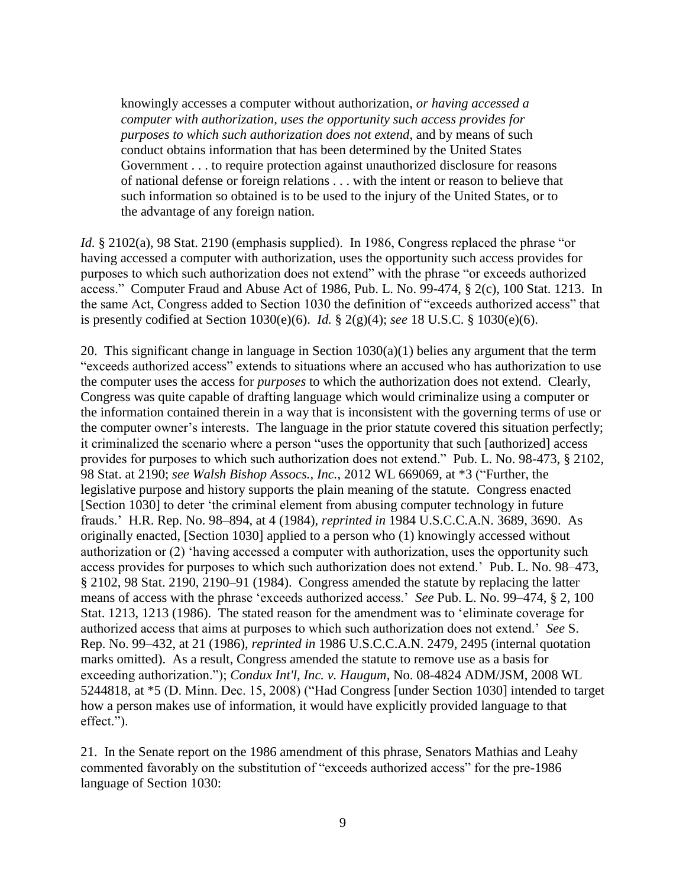knowingly accesses a computer without authorization, *or having accessed a computer with authorization, uses the opportunity such access provides for purposes to which such authorization does not extend*, and by means of such conduct obtains information that has been determined by the United States Government . . . to require protection against unauthorized disclosure for reasons of national defense or foreign relations . . . with the intent or reason to believe that such information so obtained is to be used to the injury of the United States, or to the advantage of any foreign nation.

*Id.* § 2102(a), 98 Stat. 2190 (emphasis supplied). In 1986, Congress replaced the phrase "or having accessed a computer with authorization, uses the opportunity such access provides for purposes to which such authorization does not extend" with the phrase "or exceeds authorized access." Computer Fraud and Abuse Act of 1986, Pub. L. No. 99-474, § 2(c), 100 Stat. 1213. In the same Act, Congress added to Section 1030 the definition of "exceeds authorized access" that is presently codified at Section 1030(e)(6). *Id.* § 2(g)(4); *see* 18 U.S.C. § 1030(e)(6).

20. This significant change in language in Section 1030(a)(1) belies any argument that the term "exceeds authorized access" extends to situations where an accused who has authorization to use the computer uses the access for *purposes* to which the authorization does not extend. Clearly, Congress was quite capable of drafting language which would criminalize using a computer or the information contained therein in a way that is inconsistent with the governing terms of use or the computer owner's interests. The language in the prior statute covered this situation perfectly; it criminalized the scenario where a person "uses the opportunity that such [authorized] access provides for purposes to which such authorization does not extend." Pub. L. No. 98-473, § 2102, 98 Stat. at 2190; *see Walsh Bishop Assocs., Inc.*, 2012 WL 669069, at \*3 ("Further, the legislative purpose and history supports the plain meaning of the statute. Congress enacted [Section 1030] to deter 'the criminal element from abusing computer technology in future frauds.' H.R. Rep. No. 98–894, at 4 (1984), *reprinted in* 1984 U.S.C.C.A.N. 3689, 3690. As originally enacted, [Section 1030] applied to a person who (1) knowingly accessed without authorization or (2) 'having accessed a computer with authorization, uses the opportunity such access provides for purposes to which such authorization does not extend.' Pub. [L. No. 98–473,](http://www.westlaw.com/Find/Default.wl?rs=dfa1.0&vr=2.0&DB=1077005&DocName=UU%28ICDD4CCEEBD-654AE2AEF35-86FB8A7E15E%29&FindType=l)  [§ 2102, 98 Stat. 2190,](http://www.westlaw.com/Find/Default.wl?rs=dfa1.0&vr=2.0&DB=1077005&DocName=UU%28ICDD4CCEEBD-654AE2AEF35-86FB8A7E15E%29&FindType=l) 2190–91 (1984). Congress amended the statute by replacing the latter means of access with the phrase 'exceeds authorized access.' *See* Pub. [L. No. 99–474, § 2, 100](http://www.westlaw.com/Find/Default.wl?rs=dfa1.0&vr=2.0&DB=1077005&DocName=UU%28I57EEA4A9FC-9F45CD961AF-9347915DCD0%29&FindType=l)  [Stat. 1213,](http://www.westlaw.com/Find/Default.wl?rs=dfa1.0&vr=2.0&DB=1077005&DocName=UU%28I57EEA4A9FC-9F45CD961AF-9347915DCD0%29&FindType=l) 1213 (1986). The stated reason for the amendment was to 'eliminate coverage for authorized access that aims at purposes to which such authorization does not extend.' *See* [S.](http://www.westlaw.com/Find/Default.wl?rs=dfa1.0&vr=2.0&DB=0001503&FindType=Y&SerialNum=0100088650) [Rep. No. 99–432, at 21 \(1986\),](http://www.westlaw.com/Find/Default.wl?rs=dfa1.0&vr=2.0&DB=0001503&FindType=Y&SerialNum=0100088650) *reprinted in* 1986 U.S.C.C.A.N. 2479, 2495 (internal quotation marks omitted). As a result, Congress amended the statute to remove use as a basis for exceeding authorization."); *Condux Int'l, Inc. v. Haugum*, No. 08-4824 ADM/JSM, 2008 WL 5244818, at \*5 (D. Minn. Dec. 15, 2008) ("Had Congress [under Section 1030] intended to target how a person makes use of information, it would have explicitly provided language to that effect.").

21. In the Senate report on the 1986 amendment of this phrase, Senators Mathias and Leahy commented favorably on the substitution of "exceeds authorized access" for the pre-1986 language of Section 1030: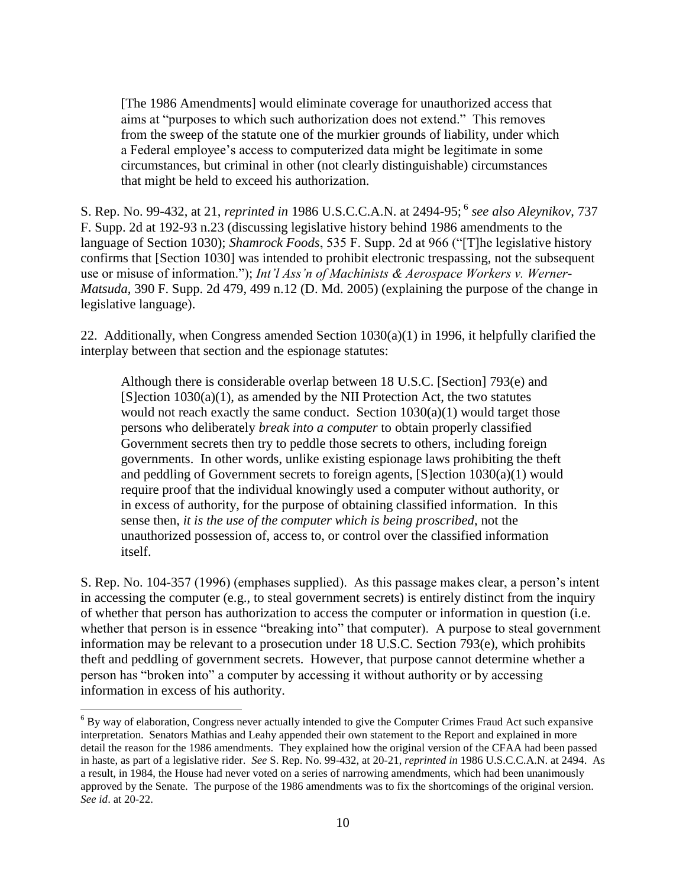[The 1986 Amendments] would eliminate coverage for unauthorized access that aims at "purposes to which such authorization does not extend." This removes from the sweep of the statute one of the murkier grounds of liability, under which a Federal employee's access to computerized data might be legitimate in some circumstances, but criminal in other (not clearly distinguishable) circumstances that might be held to exceed his authorization.

S. Rep. No. 99-432, at 21, *reprinted in* 1986 U.S.C.C.A.N. at 2494-95; <sup>6</sup> *see also Aleynikov*, 737 F. Supp. 2d at 192-93 n.23 (discussing legislative history behind 1986 amendments to the language of Section 1030); *Shamrock Foods*, 535 F. Supp. 2d at 966 ("[T]he legislative history confirms that [Section 1030] was intended to prohibit electronic trespassing, not the subsequent use or misuse of information."); *Int'l Ass'n of Machinists & Aerospace Workers v. Werner-Matsuda*, 390 F. Supp. 2d 479, 499 n.12 (D. Md. 2005) (explaining the purpose of the change in legislative language).

22. Additionally, when Congress amended Section  $1030(a)(1)$  in 1996, it helpfully clarified the interplay between that section and the espionage statutes:

Although there is considerable overlap between 18 U.S.C. [Section] 793(e) and  $[S]$ ection 1030(a)(1), as amended by the NII Protection Act, the two statutes would not reach exactly the same conduct. Section  $1030(a)(1)$  would target those persons who deliberately *break into a computer* to obtain properly classified Government secrets then try to peddle those secrets to others, including foreign governments. In other words, unlike existing espionage laws prohibiting the theft and peddling of Government secrets to foreign agents, [S]ection 1030(a)(1) would require proof that the individual knowingly used a computer without authority, or in excess of authority, for the purpose of obtaining classified information. In this sense then, *it is the use of the computer which is being proscribed*, not the unauthorized possession of, access to, or control over the classified information itself.

S. Rep. No. 104-357 (1996) (emphases supplied). As this passage makes clear, a person's intent in accessing the computer (e.g., to steal government secrets) is entirely distinct from the inquiry of whether that person has authorization to access the computer or information in question (i.e. whether that person is in essence "breaking into" that computer). A purpose to steal government information may be relevant to a prosecution under 18 U.S.C. Section 793(e), which prohibits theft and peddling of government secrets. However, that purpose cannot determine whether a person has "broken into" a computer by accessing it without authority or by accessing information in excess of his authority.

<sup>6</sup> By way of elaboration, Congress never actually intended to give the Computer Crimes Fraud Act such expansive interpretation. Senators Mathias and Leahy appended their own statement to the Report and explained in more detail the reason for the 1986 amendments. They explained how the original version of the CFAA had been passed in haste, as part of a legislative rider. *See* S. Rep. No. 99-432, at 20-21, *reprinted in* 1986 U.S.C.C.A.N. at 2494. As a result, in 1984, the House had never voted on a series of narrowing amendments, which had been unanimously approved by the Senate. The purpose of the 1986 amendments was to fix the shortcomings of the original version. *See id*. at 20-22.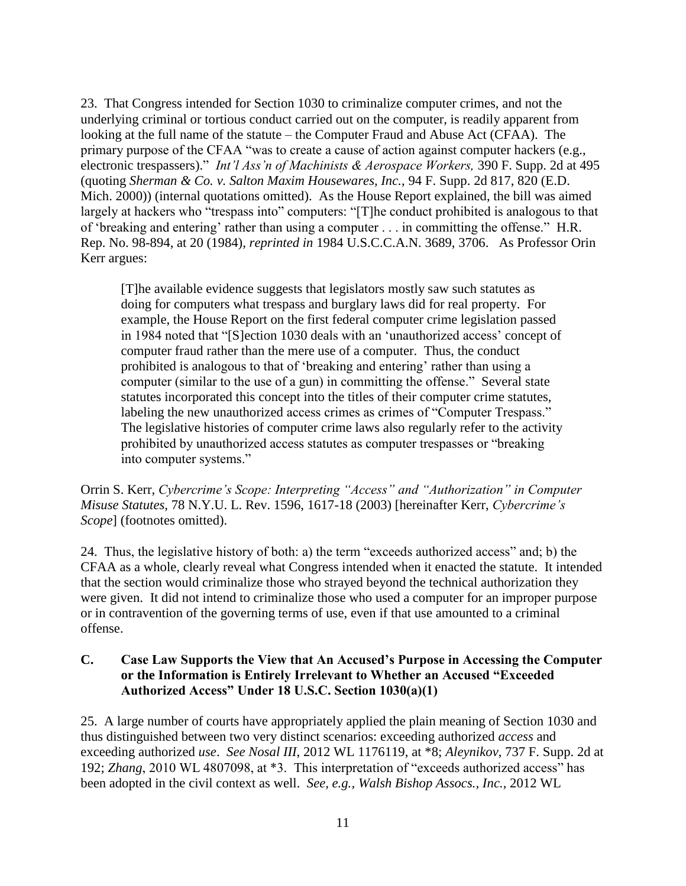23. That Congress intended for Section 1030 to criminalize computer crimes, and not the underlying criminal or tortious conduct carried out on the computer, is readily apparent from looking at the full name of the statute – the Computer Fraud and Abuse Act (CFAA). The primary purpose of the CFAA "was to create a cause of action against computer hackers (e.g., electronic trespassers)." *Int'l Ass'n of Machinists & Aerospace Workers,* 390 F. Supp. 2d at 495 (quoting *Sherman & Co. v. Salton Maxim Housewares, Inc.*, 94 F. Supp. 2d 817, 820 (E.D. Mich. 2000)) (internal quotations omitted). As the House Report explained, the bill was aimed largely at hackers who "trespass into" computers: "[T]he conduct prohibited is analogous to that of 'breaking and entering' rather than using a computer . . . in committing the offense." H.R. Rep. No. 98-894, at 20 (1984), *reprinted in* 1984 U.S.C.C.A.N. 3689, 3706. As Professor Orin Kerr argues:

[T]he available evidence suggests that legislators mostly saw such statutes as doing for computers what trespass and burglary laws did for real property. For example, the House Report on the first federal computer crime legislation passed in 1984 noted that "[S]ection 1030 deals with an 'unauthorized access' concept of computer fraud rather than the mere use of a computer. Thus, the conduct prohibited is analogous to that of 'breaking and entering' rather than using a computer (similar to the use of a gun) in committing the offense." Several state statutes incorporated this concept into the titles of their computer crime statutes, labeling the new unauthorized access crimes as crimes of "Computer Trespass." The legislative histories of computer crime laws also regularly refer to the activity prohibited by unauthorized access statutes as computer trespasses or "breaking into computer systems."

Orrin S. Kerr, *Cybercrime's Scope: Interpreting "Access" and "Authorization" in Computer Misuse Statutes*, 78 N.Y.U. L. Rev. 1596, 1617-18 (2003) [hereinafter Kerr, *Cybercrime's Scope*] (footnotes omitted).

24. Thus, the legislative history of both: a) the term "exceeds authorized access" and; b) the CFAA as a whole, clearly reveal what Congress intended when it enacted the statute. It intended that the section would criminalize those who strayed beyond the technical authorization they were given. It did not intend to criminalize those who used a computer for an improper purpose or in contravention of the governing terms of use, even if that use amounted to a criminal offense.

### **C. Case Law Supports the View that An Accused's Purpose in Accessing the Computer or the Information is Entirely Irrelevant to Whether an Accused "Exceeded Authorized Access" Under 18 U.S.C. Section 1030(a)(1)**

25. A large number of courts have appropriately applied the plain meaning of Section 1030 and thus distinguished between two very distinct scenarios: exceeding authorized *access* and exceeding authorized *use*. *See Nosal III*, 2012 WL 1176119, at \*8; *Aleynikov*, 737 F. Supp. 2d at 192; *Zhang*, 2010 WL 4807098, at \*3. This interpretation of "exceeds authorized access" has been adopted in the civil context as well. *See, e.g., Walsh Bishop Assocs., Inc.*, 2012 WL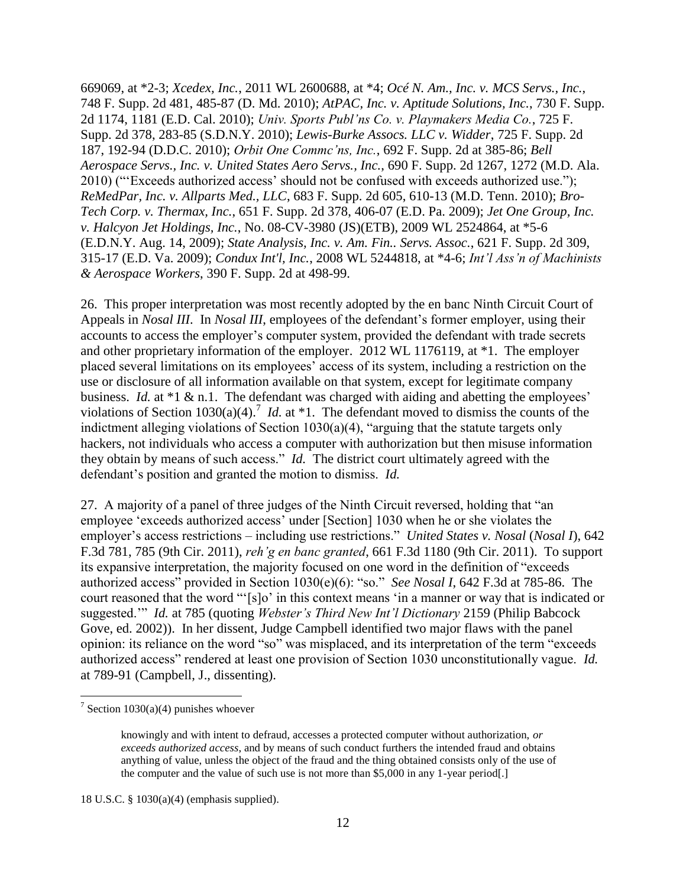669069, at \*2-3; *Xcedex, Inc.*, 2011 WL 2600688, at \*4; *Océ N. Am., Inc. v. MCS Servs., Inc.*, 748 F. Supp. 2d 481, 485-87 (D. Md. 2010); *AtPAC, Inc. v. Aptitude Solutions, Inc.*, 730 F. Supp. 2d 1174, 1181 (E.D. Cal. 2010); *Univ. Sports Publ'ns Co. v. Playmakers Media Co.*, 725 F. Supp. 2d 378, 283-85 (S.D.N.Y. 2010); *Lewis-Burke Assocs. LLC v. Widder*, 725 F. Supp. 2d 187, 192-94 (D.D.C. 2010); *Orbit One Commc'ns, Inc.*, 692 F. Supp. 2d at 385-86; *Bell Aerospace Servs., Inc. v. United States Aero Servs., Inc.*, 690 F. Supp. 2d 1267, 1272 (M.D. Ala. 2010) ("'Exceeds authorized access' should not be confused with exceeds authorized use."); *ReMedPar, Inc. v. Allparts Med., LLC*, 683 F. Supp. 2d 605, 610-13 (M.D. Tenn. 2010); *Bro-Tech Corp. v. Thermax, Inc.*, 651 F. Supp. 2d 378, 406-07 (E.D. Pa. 2009); *Jet One Group, Inc. v. Halcyon Jet Holdings, Inc.*, No. 08-CV-3980 (JS)(ETB), 2009 WL 2524864, at \*5-6 (E.D.N.Y. Aug. 14, 2009); *State Analysis, Inc. v. Am. Fin.. Servs. Assoc.*, 621 F. Supp. 2d 309, 315-17 (E.D. Va. 2009); *Condux Int'l, Inc.*, 2008 WL 5244818, at \*4-6; *Int'l Ass'n of Machinists & Aerospace Workers*, 390 F. Supp. 2d at 498-99.

26. This proper interpretation was most recently adopted by the en banc Ninth Circuit Court of Appeals in *Nosal III*. In *Nosal III*, employees of the defendant's former employer, using their accounts to access the employer's computer system, provided the defendant with trade secrets and other proprietary information of the employer. 2012 WL 1176119, at \*1. The employer placed several limitations on its employees' access of its system, including a restriction on the use or disclosure of all information available on that system, except for legitimate company business. *Id.* at \*1 & n.1. The defendant was charged with aiding and abetting the employees' violations of Section 1030(a)(4).<sup>7</sup> *Id.* at \*1. The defendant moved to dismiss the counts of the indictment alleging violations of Section 1030(a)(4), "arguing that the statute targets only hackers, not individuals who access a computer with authorization but then misuse information they obtain by means of such access." *Id.* The district court ultimately agreed with the defendant's position and granted the motion to dismiss. *Id.*

27. A majority of a panel of three judges of the Ninth Circuit reversed, holding that "an employee 'exceeds authorized access' under [Section] 1030 when he or she violates the employer's access restrictions – including use restrictions." *United States v. Nosal* (*Nosal I*), 642 F.3d 781, 785 (9th Cir. 2011), *reh'g en banc granted*, 661 F.3d 1180 (9th Cir. 2011). To support its expansive interpretation, the majority focused on one word in the definition of "exceeds authorized access" provided in Section 1030(e)(6): "so." *See Nosal I*, 642 F.3d at 785-86. The court reasoned that the word "'[s]o' in this context means 'in a manner or way that is indicated or suggested.'" *Id.* at 785 (quoting *Webster's Third New Int'l Dictionary* 2159 (Philip Babcock Gove, ed. 2002)). In her dissent, Judge Campbell identified two major flaws with the panel opinion: its reliance on the word "so" was misplaced, and its interpretation of the term "exceeds authorized access" rendered at least one provision of Section 1030 unconstitutionally vague. *Id.* at 789-91 (Campbell, J., dissenting).

<sup>&</sup>lt;sup>7</sup> Section 1030(a)(4) punishes whoever

knowingly and with intent to defraud, accesses a protected computer without authorization, *or exceeds authorized access*, and by means of such conduct furthers the intended fraud and obtains anything of value, unless the object of the fraud and the thing obtained consists only of the use of the computer and the value of such use is not more than \$5,000 in any 1-year period[.]

<sup>18</sup> U.S.C. § 1030(a)(4) (emphasis supplied).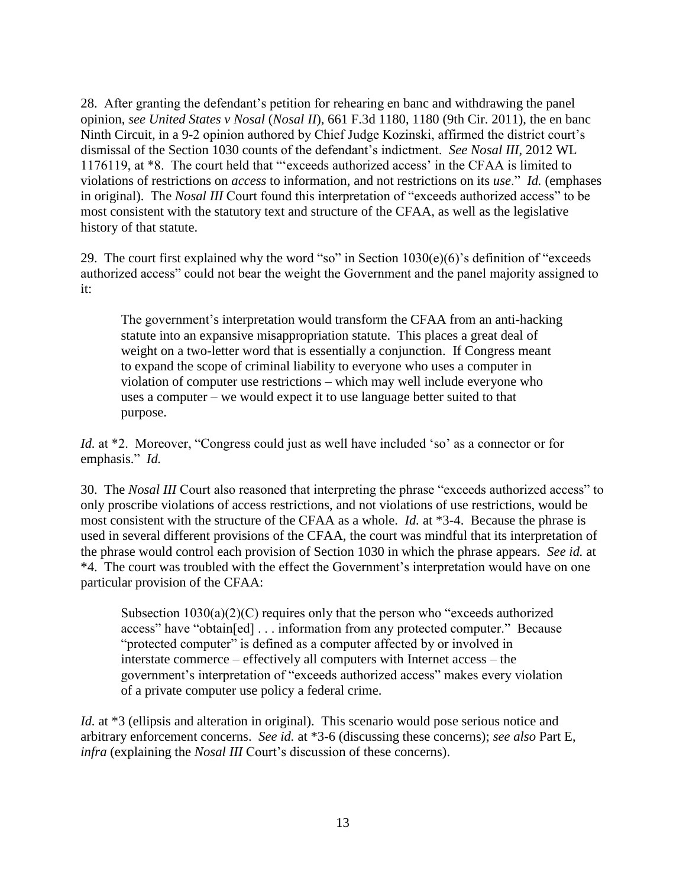28. After granting the defendant's petition for rehearing en banc and withdrawing the panel opinion, *see United States v Nosal* (*Nosal II*), 661 F.3d 1180, 1180 (9th Cir. 2011), the en banc Ninth Circuit, in a 9-2 opinion authored by Chief Judge Kozinski, affirmed the district court's dismissal of the Section 1030 counts of the defendant's indictment. *See Nosal III*, 2012 WL 1176119, at \*8. The court held that "'exceeds authorized access' in the CFAA is limited to violations of restrictions on *access* to information, and not restrictions on its *use*." *Id.* (emphases in original). The *Nosal III* Court found this interpretation of "exceeds authorized access" to be most consistent with the statutory text and structure of the CFAA, as well as the legislative history of that statute.

29. The court first explained why the word "so" in Section  $1030(e)(6)$ 's definition of "exceeds" authorized access" could not bear the weight the Government and the panel majority assigned to it:

The government's interpretation would transform the CFAA from an anti-hacking statute into an expansive misappropriation statute. This places a great deal of weight on a two-letter word that is essentially a conjunction. If Congress meant to expand the scope of criminal liability to everyone who uses a computer in violation of computer use restrictions – which may well include everyone who uses a computer – we would expect it to use language better suited to that purpose.

*Id.* at \*2. Moreover, "Congress could just as well have included 'so' as a connector or for emphasis." *Id.*

30. The *Nosal III* Court also reasoned that interpreting the phrase "exceeds authorized access" to only proscribe violations of access restrictions, and not violations of use restrictions, would be most consistent with the structure of the CFAA as a whole. *Id.* at \*3-4. Because the phrase is used in several different provisions of the CFAA, the court was mindful that its interpretation of the phrase would control each provision of Section 1030 in which the phrase appears. *See id.* at \*4. The court was troubled with the effect the Government's interpretation would have on one particular provision of the CFAA:

Subsection  $1030(a)(2)(C)$  requires only that the person who "exceeds authorized" access" have "obtain[ed] . . . information from any protected computer." Because "protected computer" is defined as a computer affected by or involved in interstate commerce – effectively all computers with Internet access – the government's interpretation of "exceeds authorized access" makes every violation of a private computer use policy a federal crime.

*Id.* at \*3 (ellipsis and alteration in original). This scenario would pose serious notice and arbitrary enforcement concerns. *See id.* at \*3-6 (discussing these concerns); *see also* Part E, *infra* (explaining the *Nosal III* Court's discussion of these concerns).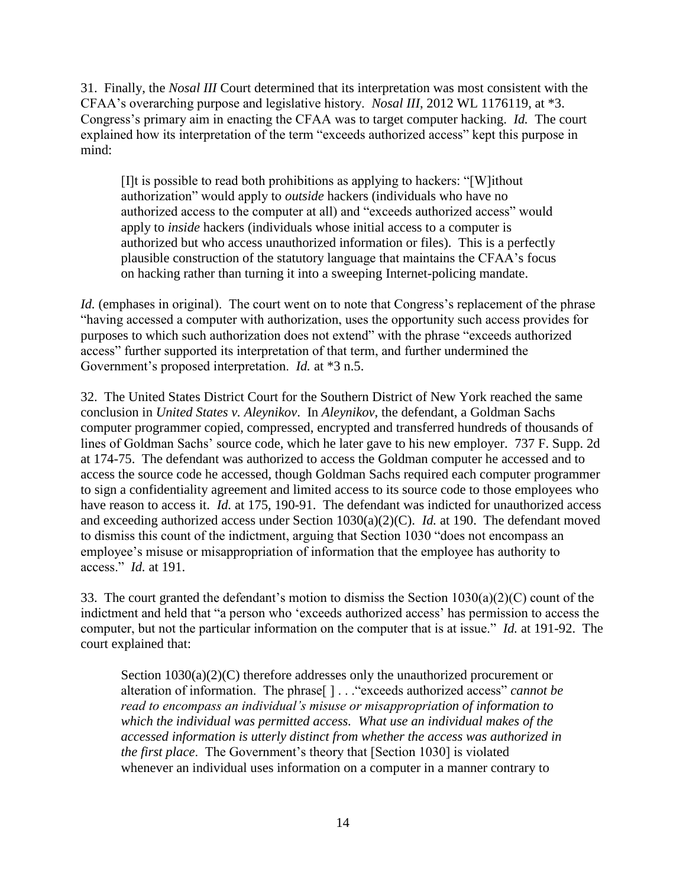31. Finally, the *Nosal III* Court determined that its interpretation was most consistent with the CFAA's overarching purpose and legislative history. *Nosal III*, 2012 WL 1176119, at \*3. Congress's primary aim in enacting the CFAA was to target computer hacking. *Id.* The court explained how its interpretation of the term "exceeds authorized access" kept this purpose in mind:

[I]t is possible to read both prohibitions as applying to hackers: "[W]ithout authorization" would apply to *outside* hackers (individuals who have no authorized access to the computer at all) and "exceeds authorized access" would apply to *inside* hackers (individuals whose initial access to a computer is authorized but who access unauthorized information or files). This is a perfectly plausible construction of the statutory language that maintains the CFAA's focus on hacking rather than turning it into a sweeping Internet-policing mandate.

*Id.* (emphases in original). The court went on to note that Congress's replacement of the phrase "having accessed a computer with authorization, uses the opportunity such access provides for purposes to which such authorization does not extend" with the phrase "exceeds authorized access" further supported its interpretation of that term, and further undermined the Government's proposed interpretation. *Id.* at \*3 n.5.

32. The United States District Court for the Southern District of New York reached the same conclusion in *United States v. Aleynikov*. In *Aleynikov*, the defendant, a Goldman Sachs computer programmer copied, compressed, encrypted and transferred hundreds of thousands of lines of Goldman Sachs' source code, which he later gave to his new employer. 737 F. Supp. 2d at 174-75. The defendant was authorized to access the Goldman computer he accessed and to access the source code he accessed, though Goldman Sachs required each computer programmer to sign a confidentiality agreement and limited access to its source code to those employees who have reason to access it. *Id.* at 175, 190-91. The defendant was indicted for unauthorized access and exceeding authorized access under Section 1030(a)(2)(C). *Id.* at 190. The defendant moved to dismiss this count of the indictment, arguing that Section 1030 "does not encompass an employee's misuse or misappropriation of information that the employee has authority to access." *Id.* at 191.

33. The court granted the defendant's motion to dismiss the Section 1030(a)(2)(C) count of the indictment and held that "a person who 'exceeds authorized access' has permission to access the computer, but not the particular information on the computer that is at issue." *Id.* at 191-92. The court explained that:

Section  $1030(a)(2)(C)$  therefore addresses only the unauthorized procurement or alteration of information. The phrase[ ] . . ."exceeds authorized access" *cannot be read to encompass an individual's misuse or misappropriation of information to which the individual was permitted access. What use an individual makes of the accessed information is utterly distinct from whether the access was authorized in the first place*. The Government's theory that [Section 1030] is violated whenever an individual uses information on a computer in a manner contrary to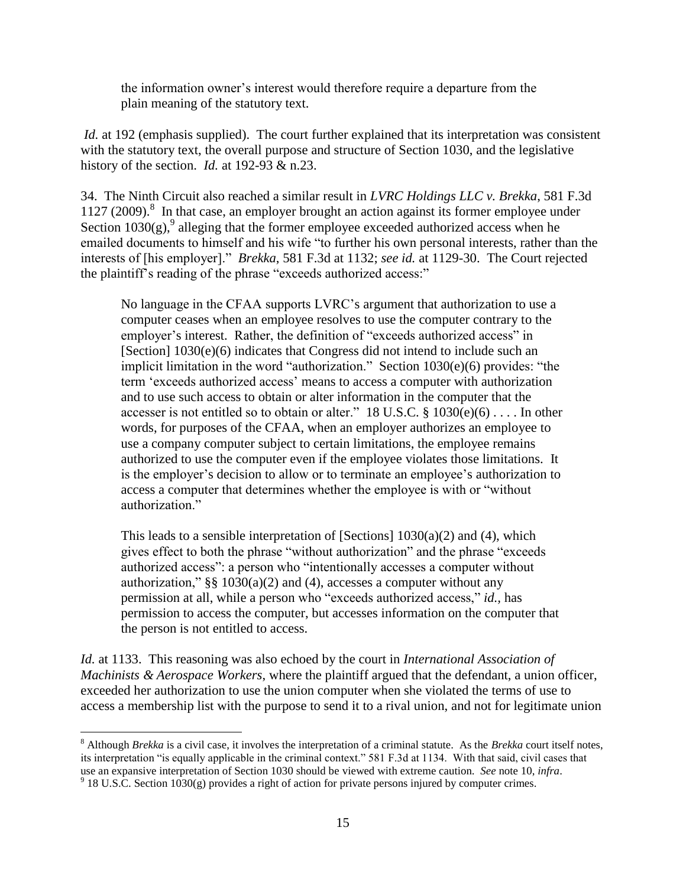the information owner's interest would therefore require a departure from the plain meaning of the statutory text.

*Id.* at 192 (emphasis supplied). The court further explained that its interpretation was consistent with the statutory text, the overall purpose and structure of Section 1030, and the legislative history of the section. *Id.* at 192-93 & n.23.

34. The Ninth Circuit also reached a similar result in *LVRC Holdings LLC v. Brekka*, 581 F.3d 1127 (2009).<sup>8</sup> In that case, an employer brought an action against its former employee under Section  $1030(g)$ , alleging that the former employee exceeded authorized access when he emailed documents to himself and his wife "to further his own personal interests, rather than the interests of [his employer]." *Brekka*, 581 F.3d at 1132; *see id.* at 1129-30. The Court rejected the plaintiff's reading of the phrase "exceeds authorized access:"

No language in the CFAA supports LVRC's argument that authorization to use a computer ceases when an employee resolves to use the computer contrary to the employer's interest. Rather, the definition of "exceeds authorized access" in [Section] 1030(e)(6) indicates that Congress did not intend to include such an implicit limitation in the word "authorization." [Section 1030\(e\)\(6\)](http://www.westlaw.com/Find/Default.wl?rs=dfa1.0&vr=2.0&DB=1000546&DocName=18USCAS1030&FindType=L&ReferencePositionType=T&ReferencePosition=SP_71db000052462) provides: "the term 'exceeds authorized access' means to access a computer with authorization and to use such access to obtain or alter information in the computer that the accesser is not entitled so to obtain or alter." 18 U.S.C.  $\S$  1030(e)(6) . . . . In other words, for purposes of the CFAA, when an employer authorizes an employee to use a company computer subject to certain limitations, the employee remains authorized to use the computer even if the employee violates those limitations. It is the employer's decision to allow or to terminate an employee's authorization to access a computer that determines whether the employee is with or "without authorization."

This leads to a sensible interpretation of [Sections]  $1030(a)(2)$  and (4), which gives effect to both the phrase "without authorization" and the phrase "exceeds authorized access": a person who "intentionally accesses a computer without authorization,"  $\S$ § 1030(a)(2) and (4), accesses a computer without any permission at all, while a person who "exceeds authorized access," *id.,* has permission to access the computer, but accesses information on the computer that the person is not entitled to access.

*Id.* at 1133. This reasoning was also echoed by the court in *International Association of Machinists & Aerospace Workers*, where the plaintiff argued that the defendant, a union officer, exceeded her authorization to use the union computer when she violated the terms of use to access a membership list with the purpose to send it to a rival union, and not for legitimate union

<sup>8</sup> Although *Brekka* is a civil case, it involves the interpretation of a criminal statute. As the *Brekka* court itself notes, its interpretation "is equally applicable in the criminal context." 581 F.3d at 1134. With that said, civil cases that use an expansive interpretation of Section 1030 should be viewed with extreme caution. *See* note 10, *infra*.  $9$  18 U.S.C. Section 1030(g) provides a right of action for private persons injured by computer crimes.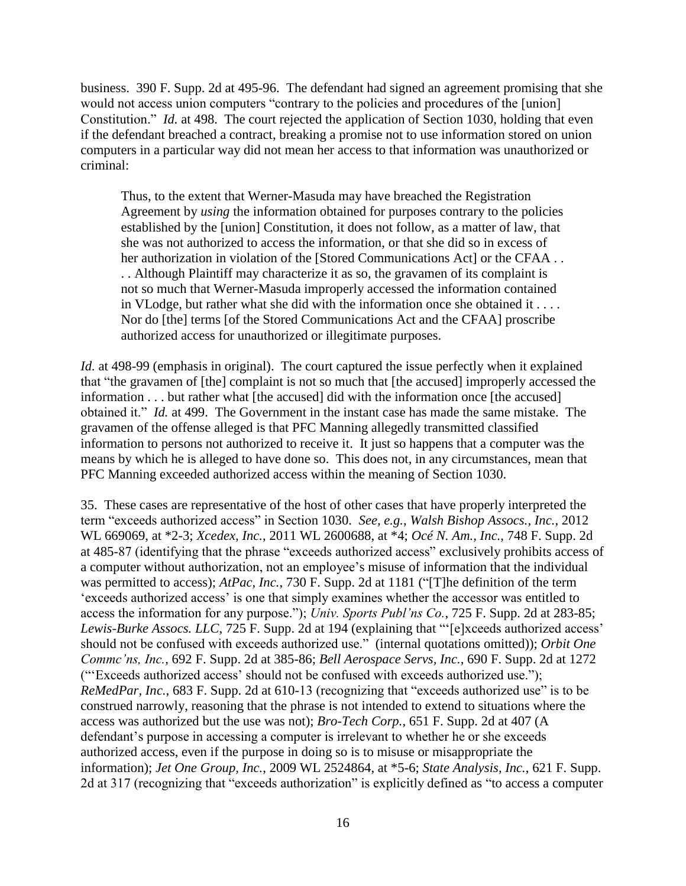business. 390 F. Supp. 2d at 495-96. The defendant had signed an agreement promising that she would not access union computers "contrary to the policies and procedures of the [union] Constitution." *Id.* at 498. The court rejected the application of [Section 1030,](http://www.westlaw.com/Find/Default.wl?rs=dfa1.0&vr=2.0&DB=1000546&DocName=18USCAS1030&FindType=L) holding that even if the defendant breached a contract, breaking a promise not to use information stored on union computers in a particular way did not mean her access to that information was unauthorized or criminal:

Thus, to the extent that Werner-Masuda may have breached the Registration Agreement by *using* the information obtained for purposes contrary to the policies established by the [union] Constitution, it does not follow, as a matter of law, that she was not authorized to access the information, or that she did so in excess of her authorization in violation of the [Stored Communications Act] or the CFAA . . . . Although Plaintiff may characterize it as so, the gravamen of its complaint is not so much that Werner-Masuda improperly accessed the information contained in VLodge, but rather what she did with the information once she obtained it . . . . Nor do [the] terms [of the Stored Communications Act and the CFAA] proscribe authorized access for unauthorized or illegitimate purposes.

*Id.* at 498-99 (emphasis in original). The court captured the issue perfectly when it explained that "the gravamen of [the] complaint is not so much that [the accused] improperly accessed the information . . . but rather what [the accused] did with the information once [the accused] obtained it." *Id.* at 499. The Government in the instant case has made the same mistake. The gravamen of the offense alleged is that PFC Manning allegedly transmitted classified information to persons not authorized to receive it. It just so happens that a computer was the means by which he is alleged to have done so. This does not, in any circumstances, mean that PFC Manning exceeded authorized access within the meaning of Section 1030.

35. These cases are representative of the host of other cases that have properly interpreted the term "exceeds authorized access" in Section 1030. *See, e.g., Walsh Bishop Assocs., Inc.*, 2012 WL 669069, at \*2-3; *Xcedex, Inc.*, 2011 WL 2600688, at \*4; *Océ N. Am., Inc.*, 748 F. Supp. 2d at 485-87 (identifying that the phrase "exceeds authorized access" exclusively prohibits access of a computer without authorization, not an employee's misuse of information that the individual was permitted to access); *AtPac, Inc.*, 730 F. Supp. 2d at 1181 ("[T]he definition of the term 'exceeds authorized access' is one that simply examines whether the accessor was entitled to access the information for any purpose."); *Univ. Sports Publ'ns Co.*, 725 F. Supp. 2d at 283-85; *Lewis-Burke Assocs. LLC*, 725 F. Supp. 2d at 194 (explaining that "'[e]xceeds authorized access' should not be confused with exceeds authorized use." (internal quotations omitted)); *Orbit One Commc'ns, Inc.*, 692 F. Supp. 2d at 385-86; *Bell Aerospace Servs, Inc.*, 690 F. Supp. 2d at 1272 ("'Exceeds authorized access' should not be confused with exceeds authorized use."); *ReMedPar, Inc.*, 683 F. Supp. 2d at 610-13 (recognizing that "exceeds authorized use" is to be construed narrowly, reasoning that the phrase is not intended to extend to situations where the access was authorized but the use was not); *Bro-Tech Corp.*, 651 F. Supp. 2d at 407 (A defendant's purpose in accessing a computer is irrelevant to whether he or she exceeds authorized access, even if the purpose in doing so is to misuse or misappropriate the information); *Jet One Group, Inc.*, 2009 WL 2524864, at \*5-6; *State Analysis, Inc.*, 621 F. Supp. 2d at 317 (recognizing that "exceeds authorization" is explicitly defined as "to access a computer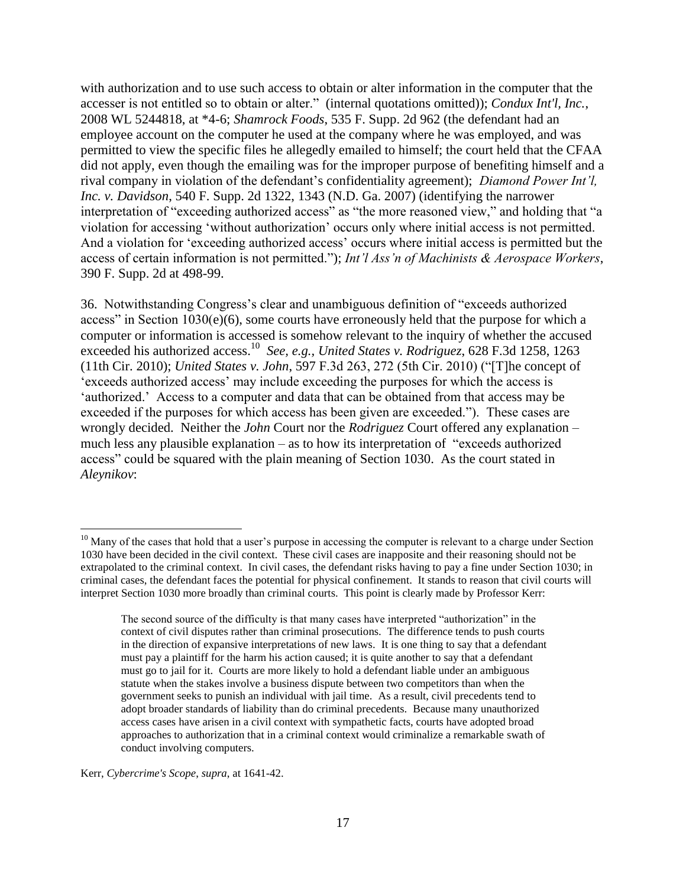with authorization and to use such access to obtain or alter information in the computer that the accesser is not entitled so to obtain or alter." (internal quotations omitted)); *Condux Int'l, Inc.*, 2008 WL 5244818, at \*4-6; *Shamrock Foods*, 535 F. Supp. 2d 962 (the defendant had an employee account on the computer he used at the company where he was employed, and was permitted to view the specific files he allegedly emailed to himself; the court held that the CFAA did not apply, even though the emailing was for the improper purpose of benefiting himself and a rival company in violation of the defendant's confidentiality agreement); *Diamond Power Int'l, Inc. v. Davidson*, 540 F. Supp. 2d 1322, 1343 (N.D. Ga. 2007) (identifying the narrower interpretation of "exceeding authorized access" as "the more reasoned view," and holding that "a violation for accessing 'without authorization' occurs only where initial access is not permitted. And a violation for 'exceeding authorized access' occurs where initial access is permitted but the access of certain information is not permitted."); *Int'l Ass'n of Machinists & Aerospace Workers*, 390 F. Supp. 2d at 498-99.

36. Notwithstanding Congress's clear and unambiguous definition of "exceeds authorized access" in Section 1030(e)(6), some courts have erroneously held that the purpose for which a computer or information is accessed is somehow relevant to the inquiry of whether the accused exceeded his authorized access.<sup>10</sup> See, e.g., United States v. Rodriguez, 628 F.3d 1258, 1263 (11th Cir. 2010); *United States v. John*, 597 F.3d 263, 272 (5th Cir. 2010) ("[T]he concept of 'exceeds authorized access' may include exceeding the purposes for which the access is 'authorized.' Access to a computer and data that can be obtained from that access may be exceeded if the purposes for which access has been given are exceeded."). These cases are wrongly decided. Neither the *John* Court nor the *Rodriguez* Court offered any explanation – much less any plausible explanation – as to how its interpretation of "exceeds authorized access" could be squared with the plain meaning of Section 1030. As the court stated in *Aleynikov*:

Kerr, *Cybercrime's Scope*, *supra*, at 1641-42.

 $10$  Many of the cases that hold that a user's purpose in accessing the computer is relevant to a charge under Section 1030 have been decided in the civil context. These civil cases are inapposite and their reasoning should not be extrapolated to the criminal context. In civil cases, the defendant risks having to pay a fine under Section 1030; in criminal cases, the defendant faces the potential for physical confinement. It stands to reason that civil courts will interpret Section 1030 more broadly than criminal courts. This point is clearly made by Professor Kerr:

The second source of the difficulty is that many cases have interpreted "authorization" in the context of civil disputes rather than criminal prosecutions. The difference tends to push courts in the direction of expansive interpretations of new laws. It is one thing to say that a defendant must pay a plaintiff for the harm his action caused; it is quite another to say that a defendant must go to jail for it. Courts are more likely to hold a defendant liable under an ambiguous statute when the stakes involve a business dispute between two competitors than when the government seeks to punish an individual with jail time. As a result, civil precedents tend to adopt broader standards of liability than do criminal precedents. Because many unauthorized access cases have arisen in a civil context with sympathetic facts, courts have adopted broad approaches to authorization that in a criminal context would criminalize a remarkable swath of conduct involving computers.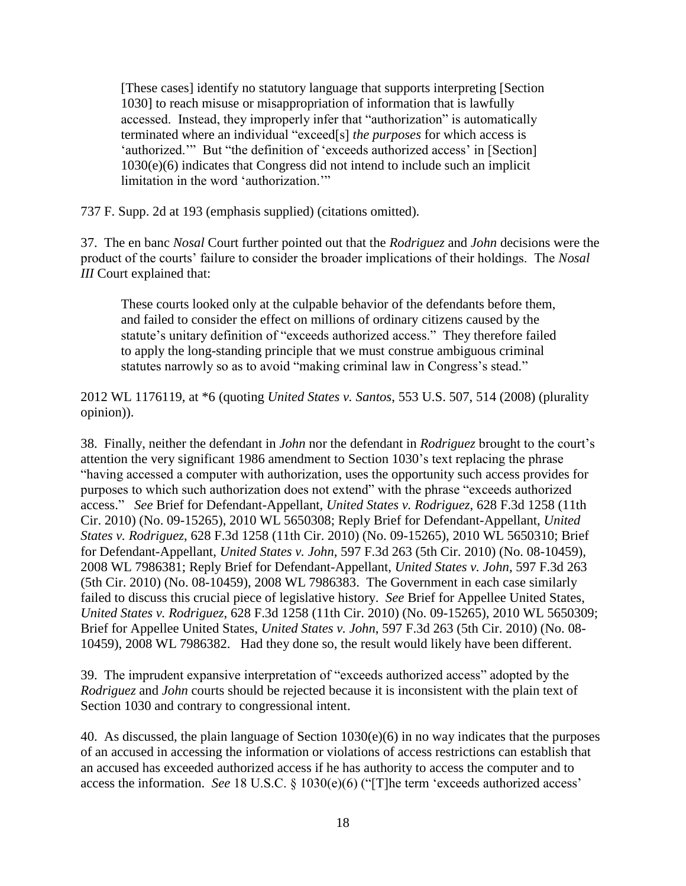[These cases] identify no statutory language that supports interpreting [Section 1030] to reach misuse or misappropriation of information that is lawfully accessed. Instead, they improperly infer that "authorization" is automatically terminated where an individual "exceed[s] *the purposes* for which access is 'authorized.'" But "the definition of 'exceeds authorized access' in [Section] 1030(e)(6) indicates that Congress did not intend to include such an implicit limitation in the word 'authorization.'"

737 F. Supp. 2d at 193 (emphasis supplied) (citations omitted).

37. The en banc *Nosal* Court further pointed out that the *Rodriguez* and *John* decisions were the product of the courts' failure to consider the broader implications of their holdings. The *Nosal III* Court explained that:

These courts looked only at the culpable behavior of the defendants before them, and failed to consider the effect on millions of ordinary citizens caused by the statute's unitary definition of "exceeds authorized access." They therefore failed to apply the long-standing principle that we must construe ambiguous criminal statutes narrowly so as to avoid "making criminal law in Congress's stead."

2012 WL 1176119, at \*6 (quoting *United States v. Santos*, 553 U.S. 507, 514 (2008) (plurality opinion)).

38. Finally, neither the defendant in *John* nor the defendant in *Rodriguez* brought to the court's attention the very significant 1986 amendment to Section 1030's text replacing the phrase "having accessed a computer with authorization, uses the opportunity such access provides for purposes to which such authorization does not extend" with the phrase "exceeds authorized access." *See* Brief for Defendant-Appellant, *United States v. Rodriguez*, 628 F.3d 1258 (11th Cir. 2010) (No. 09-15265), 2010 WL 5650308; Reply Brief for Defendant-Appellant, *United States v. Rodriguez*, 628 F.3d 1258 (11th Cir. 2010) (No. 09-15265), 2010 WL 5650310; Brief for Defendant-Appellant, *United States v. John*, 597 F.3d 263 (5th Cir. 2010) (No. 08-10459), 2008 WL 7986381; Reply Brief for Defendant-Appellant, *United States v. John*, 597 F.3d 263 (5th Cir. 2010) (No. 08-10459), 2008 WL 7986383. The Government in each case similarly failed to discuss this crucial piece of legislative history. *See* Brief for Appellee United States, *United States v. Rodriguez*, 628 F.3d 1258 (11th Cir. 2010) (No. 09-15265), 2010 WL 5650309; Brief for Appellee United States, *United States v. John*, 597 F.3d 263 (5th Cir. 2010) (No. 08- 10459), 2008 WL 7986382. Had they done so, the result would likely have been different.

39. The imprudent expansive interpretation of "exceeds authorized access" adopted by the *Rodriguez* and *John* courts should be rejected because it is inconsistent with the plain text of Section 1030 and contrary to congressional intent.

40. As discussed, the plain language of Section  $1030(e)(6)$  in no way indicates that the purposes of an accused in accessing the information or violations of access restrictions can establish that an accused has exceeded authorized access if he has authority to access the computer and to access the information. *See* 18 U.S.C. § 1030(e)(6) ("[T]he term 'exceeds authorized access'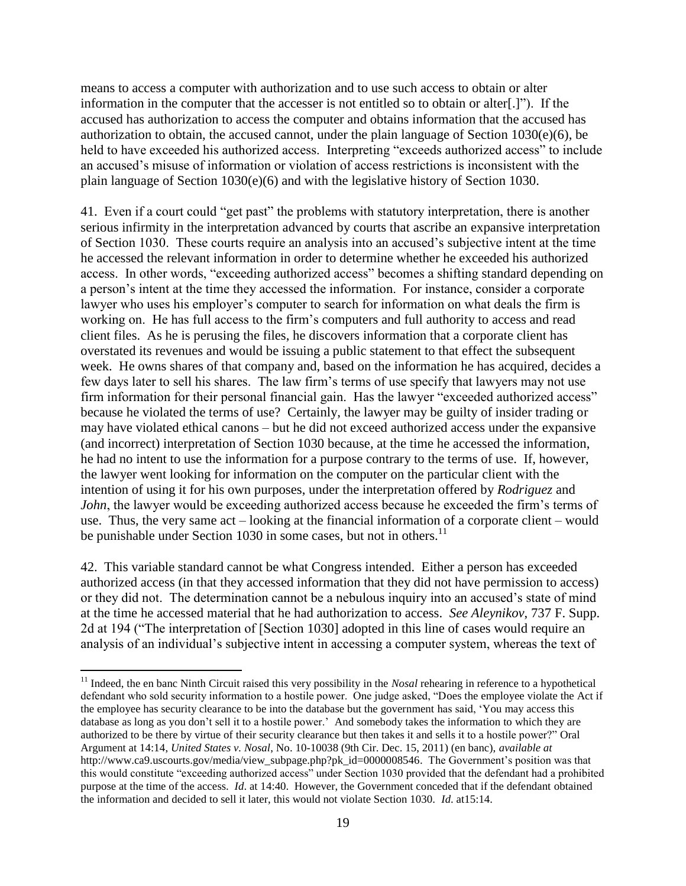means to access a computer with authorization and to use such access to obtain or alter information in the computer that the accesser is not entitled so to obtain or alter[.]"). If the accused has authorization to access the computer and obtains information that the accused has authorization to obtain, the accused cannot, under the plain language of Section  $1030(e)(6)$ , be held to have exceeded his authorized access. Interpreting "exceeds authorized access" to include an accused's misuse of information or violation of access restrictions is inconsistent with the plain language of Section  $1030(e)(6)$  and with the legislative history of Section 1030.

41. Even if a court could "get past" the problems with statutory interpretation, there is another serious infirmity in the interpretation advanced by courts that ascribe an expansive interpretation of Section 1030. These courts require an analysis into an accused's subjective intent at the time he accessed the relevant information in order to determine whether he exceeded his authorized access. In other words, "exceeding authorized access" becomes a shifting standard depending on a person's intent at the time they accessed the information. For instance, consider a corporate lawyer who uses his employer's computer to search for information on what deals the firm is working on. He has full access to the firm's computers and full authority to access and read client files. As he is perusing the files, he discovers information that a corporate client has overstated its revenues and would be issuing a public statement to that effect the subsequent week. He owns shares of that company and, based on the information he has acquired, decides a few days later to sell his shares. The law firm's terms of use specify that lawyers may not use firm information for their personal financial gain. Has the lawyer "exceeded authorized access" because he violated the terms of use? Certainly, the lawyer may be guilty of insider trading or may have violated ethical canons – but he did not exceed authorized access under the expansive (and incorrect) interpretation of Section 1030 because, at the time he accessed the information, he had no intent to use the information for a purpose contrary to the terms of use. If, however, the lawyer went looking for information on the computer on the particular client with the intention of using it for his own purposes, under the interpretation offered by *Rodriguez* and *John*, the lawyer would be exceeding authorized access because he exceeded the firm's terms of use. Thus, the very same act – looking at the financial information of a corporate client – would be punishable under Section 1030 in some cases, but not in others.<sup>11</sup>

42. This variable standard cannot be what Congress intended. Either a person has exceeded authorized access (in that they accessed information that they did not have permission to access) or they did not. The determination cannot be a nebulous inquiry into an accused's state of mind at the time he accessed material that he had authorization to access. *See Aleynikov*, 737 F. Supp. 2d at 194 ("The interpretation of [Section 1030] adopted in this line of cases would require an analysis of an individual's subjective intent in accessing a computer system, whereas the text of

<sup>&</sup>lt;sup>11</sup> Indeed, the en banc Ninth Circuit raised this very possibility in the *Nosal* rehearing in reference to a hypothetical defendant who sold security information to a hostile power. One judge asked, "Does the employee violate the Act if the employee has security clearance to be into the database but the government has said, 'You may access this database as long as you don't sell it to a hostile power.' And somebody takes the information to which they are authorized to be there by virtue of their security clearance but then takes it and sells it to a hostile power?" Oral Argument at 14:14, *United States v. Nosal*, No. 10-10038 (9th Cir. Dec. 15, 2011) (en banc), *available at*  http://www.ca9.uscourts.gov/media/view\_subpage.php?pk\_id=0000008546. The Government's position was that this would constitute "exceeding authorized access" under Section 1030 provided that the defendant had a prohibited purpose at the time of the access. *Id*. at 14:40. However, the Government conceded that if the defendant obtained the information and decided to sell it later, this would not violate Section 1030. *Id*. at15:14.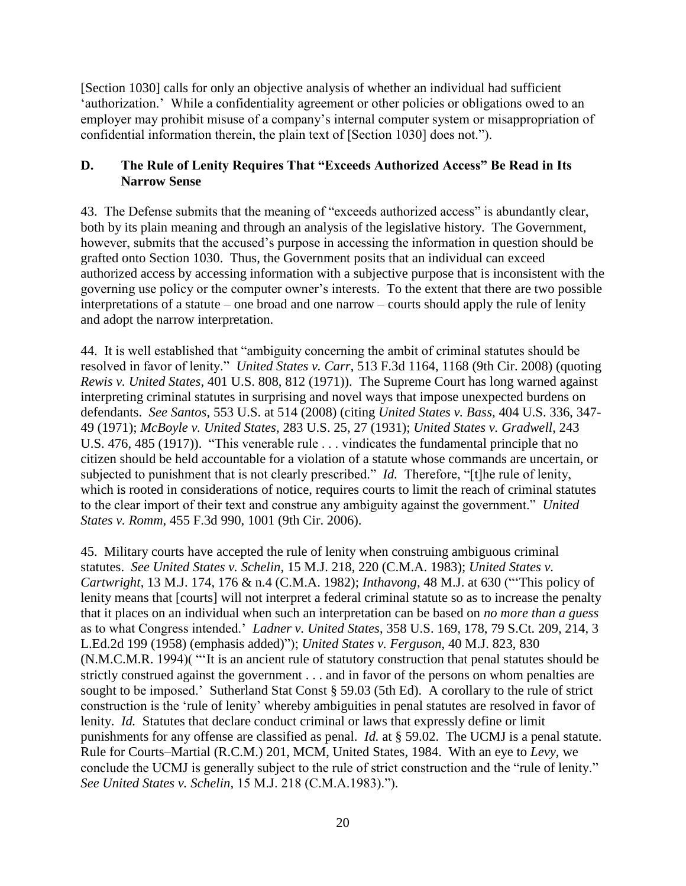[Section 1030] calls for only an objective analysis of whether an individual had sufficient 'authorization.' While a confidentiality agreement or other policies or obligations owed to an employer may prohibit misuse of a company's internal computer system or misappropriation of confidential information therein, the plain text of [Section 1030] does not.").

### **D. The Rule of Lenity Requires That "Exceeds Authorized Access" Be Read in Its Narrow Sense**

43. The Defense submits that the meaning of "exceeds authorized access" is abundantly clear, both by its plain meaning and through an analysis of the legislative history. The Government, however, submits that the accused's purpose in accessing the information in question should be grafted onto Section 1030. Thus, the Government posits that an individual can exceed authorized access by accessing information with a subjective purpose that is inconsistent with the governing use policy or the computer owner's interests. To the extent that there are two possible interpretations of a statute – one broad and one narrow – courts should apply the rule of lenity and adopt the narrow interpretation.

44. It is well established that "ambiguity concerning the ambit of criminal statutes should be resolved in favor of lenity." *United States v. Carr*, [513 F.3d 1164, 1168 \(9th Cir. 2008\)](http://www.westlaw.com/Find/Default.wl?rs=dfa1.0&vr=2.0&DB=506&FindType=Y&ReferencePositionType=S&SerialNum=2014885533&ReferencePosition=1168) (quoting *Rewis v. United States*, 401 U.S. 808, 812 (1971)). The Supreme Court has long warned against interpreting criminal statutes in surprising and novel ways that impose unexpected burdens on defendants. *See Santos*, 553 U.S. at 514 (2008) (citing *United States v. Bass,* 404 U.S. 336, 347- 49 (1971); *McBoyle v. United States*, 283 U.S. 25, 27 (1931); *United States v. Gradwell*, 243 U.S. 476, 485 (1917)). "This venerable rule . . . vindicates the fundamental principle that no citizen should be held accountable for a violation of a statute whose commands are uncertain, or subjected to punishment that is not clearly prescribed." *[Id.](http://www.westlaw.com/Find/Default.wl?rs=dfa1.0&vr=2.0&FindType=Y&SerialNum=2016220691)* Therefore, "[t]he rule of lenity, which is rooted in considerations of notice, requires courts to limit the reach of criminal statutes to the clear import of their text and construe any ambiguity against the government." *[United](http://www.westlaw.com/Find/Default.wl?rs=dfa1.0&vr=2.0&DB=506&FindType=Y&ReferencePositionType=S&SerialNum=2009603923&ReferencePosition=1001)  [States v. Romm](http://www.westlaw.com/Find/Default.wl?rs=dfa1.0&vr=2.0&DB=506&FindType=Y&ReferencePositionType=S&SerialNum=2009603923&ReferencePosition=1001)*, 455 F.3d 990, 1001 (9th Cir. 2006).

45. Military courts have accepted the rule of lenity when construing ambiguous criminal statutes. *See United States v. Schelin*, 15 M.J. 218, 220 (C.M.A. 1983); *United States v. Cartwright*, 13 M.J. 174, 176 & n.4 (C.M.A. 1982); *Inthavong*, 48 M.J. at 630 ("'This policy of lenity means that [courts] will not interpret a federal criminal statute so as to increase the penalty that it places on an individual when such an interpretation can be based on *no more than a guess* as to what Congress intended.' *[Ladner v. United States](http://www.westlaw.com/Find/Default.wl?rs=dfa1.0&vr=2.0&DB=708&FindType=Y&ReferencePositionType=S&SerialNum=1958127968&ReferencePosition=214)*, [358 U.S. 169, 178, 79 S.Ct. 209, 214, 3](http://www.westlaw.com/Find/Default.wl?rs=dfa1.0&vr=2.0&DB=708&FindType=Y&ReferencePositionType=S&SerialNum=1958127968&ReferencePosition=214)  [L.Ed.2d 199 \(1958\)](http://www.westlaw.com/Find/Default.wl?rs=dfa1.0&vr=2.0&DB=708&FindType=Y&ReferencePositionType=S&SerialNum=1958127968&ReferencePosition=214) (emphasis added)"); *United States v. Ferguson*, 40 M.J. 823, 830 (N.M.C.M.R. 1994)( "'It is an ancient rule of statutory construction that penal statutes should be strictly construed against the government . . . and in favor of the persons on whom penalties are sought to be imposed.' Sutherland Stat Const § 59.03 (5th Ed). A corollary to the rule of strict construction is the 'rule of lenity' whereby ambiguities in penal statutes are resolved in favor of lenity. *[Id.](http://www.westlaw.com/Find/Default.wl?rs=dfa1.0&vr=2.0&FindType=Y&SerialNum=1990119821)* Statutes that declare conduct criminal or laws that expressly define or limit punishments for any offense are classified as penal. *Id.* at § 59.02. The UCMJ is a penal statute. Rule for Courts–Martial (R.C.M.) 201, MCM, United States, 1984. With an eye to *[Levy,](http://www.westlaw.com/Find/Default.wl?rs=dfa1.0&vr=2.0&FindType=Y&SerialNum=1974127227)* we conclude the UCMJ is generally subject to the rule of strict construction and the "rule of lenity." *See [United States v. Schelin,](http://www.westlaw.com/Find/Default.wl?rs=dfa1.0&vr=2.0&DB=509&FindType=Y&SerialNum=1983111860)* 15 M.J. 218 (C.M.A.1983).").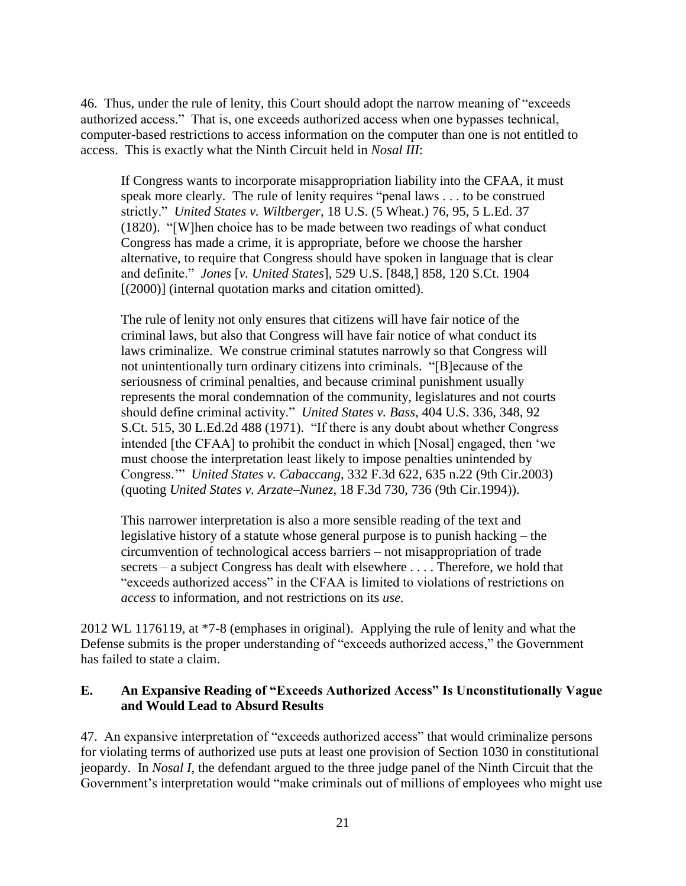46. Thus, under the rule of lenity, this Court should adopt the narrow meaning of "exceeds authorized access." That is, one exceeds authorized access when one bypasses technical, computer-based restrictions to access information on the computer than one is not entitled to access. This is exactly what the Ninth Circuit held in *Nosal III*:

If Congress wants to incorporate misappropriation liability into the CFAA, it must speak more clearly. The rule of lenity requires "penal laws . . . to be construed strictly." *United States v. Wiltberger*, [18 U.S. \(5 Wheat.\) 76, 95, 5 L.Ed. 37](http://web2.westlaw.com/find/default.wl?mt=208&db=780&tc=-1&rp=%2ffind%2fdefault.wl&findtype=Y&ordoc=2027470557&serialnum=1820137963&vr=2.0&fn=_top&sv=Split&tf=-1&referencepositiontype=S&pbc=181DA594&referenceposition=95&rs=WLW12.04)  [\(1820\).](http://web2.westlaw.com/find/default.wl?mt=208&db=780&tc=-1&rp=%2ffind%2fdefault.wl&findtype=Y&ordoc=2027470557&serialnum=1820137963&vr=2.0&fn=_top&sv=Split&tf=-1&referencepositiontype=S&pbc=181DA594&referenceposition=95&rs=WLW12.04) "[W]hen choice has to be made between two readings of what conduct Congress has made a crime, it is appropriate, before we choose the harsher alternative, to require that Congress should have spoken in language that is clear and definite." *Jones* [*v. United States*], 529 U.S. [848,] [858, 120 S.Ct. 1904](http://web2.westlaw.com/find/default.wl?mt=208&db=708&tc=-1&rp=%2ffind%2fdefault.wl&findtype=Y&ordoc=2027470557&serialnum=2000358278&vr=2.0&fn=_top&sv=Split&tf=-1&pbc=181DA594&rs=WLW12.04) [(2000)] (internal quotation marks and citation omitted).

The rule of lenity not only ensures that citizens will have fair notice of the criminal laws, but also that Congress will have fair notice of what conduct its laws criminalize. We construe criminal statutes narrowly so that Congress will not unintentionally turn ordinary citizens into criminals. "[B]ecause of the seriousness of criminal penalties, and because criminal punishment usually represents the moral condemnation of the community, legislatures and not courts should define criminal activity." *United States v. Bass*, [404 U.S. 336, 348, 92](http://web2.westlaw.com/find/default.wl?mt=208&db=708&tc=-1&rp=%2ffind%2fdefault.wl&findtype=Y&ordoc=2027470557&serialnum=1971127154&vr=2.0&fn=_top&sv=Split&tf=-1&pbc=181DA594&rs=WLW12.04)  [S.Ct. 515, 30 L.Ed.2d 488 \(1971\).](http://web2.westlaw.com/find/default.wl?mt=208&db=708&tc=-1&rp=%2ffind%2fdefault.wl&findtype=Y&ordoc=2027470557&serialnum=1971127154&vr=2.0&fn=_top&sv=Split&tf=-1&pbc=181DA594&rs=WLW12.04) "If there is any doubt about whether Congress intended [the CFAA] to prohibit the conduct in which [Nosal] engaged, then 'we must choose the interpretation least likely to impose penalties unintended by Congress.'" *United States v. Cabaccang*, [332 F.3d 622, 635 n.22 \(9th Cir.2003\)](http://web2.westlaw.com/find/default.wl?mt=208&db=506&tc=-1&rp=%2ffind%2fdefault.wl&findtype=Y&ordoc=2027470557&serialnum=2003401323&vr=2.0&fn=_top&sv=Split&tf=-1&referencepositiontype=S&pbc=181DA594&referenceposition=635&rs=WLW12.04) (quoting *United States v. Arzate–Nunez*, [18 F.3d 730, 736 \(9th Cir.1994\)\)](http://web2.westlaw.com/find/default.wl?mt=208&db=506&tc=-1&rp=%2ffind%2fdefault.wl&findtype=Y&ordoc=2027470557&serialnum=1994054660&vr=2.0&fn=_top&sv=Split&tf=-1&referencepositiontype=S&pbc=181DA594&referenceposition=736&rs=WLW12.04).

This narrower interpretation is also a more sensible reading of the text and legislative history of a statute whose general purpose is to punish hacking – the circumvention of technological access barriers – not misappropriation of trade secrets – a subject Congress has dealt with elsewhere . . . . Therefore, we hold that "exceeds authorized access" in the CFAA is limited to violations of restrictions on *access* to information, and not restrictions on its *use.*

2012 WL 1176119, at \*7-8 (emphases in original). Applying the rule of lenity and what the Defense submits is the proper understanding of "exceeds authorized access," the Government has failed to state a claim.

### **E. An Expansive Reading of "Exceeds Authorized Access" Is Unconstitutionally Vague and Would Lead to Absurd Results**

47. An expansive interpretation of "exceeds authorized access" that would criminalize persons for violating terms of authorized use puts at least one provision of Section 1030 in constitutional jeopardy. In *Nosal I*, the defendant argued to the three judge panel of the Ninth Circuit that the Government's interpretation would "make criminals out of millions of employees who might use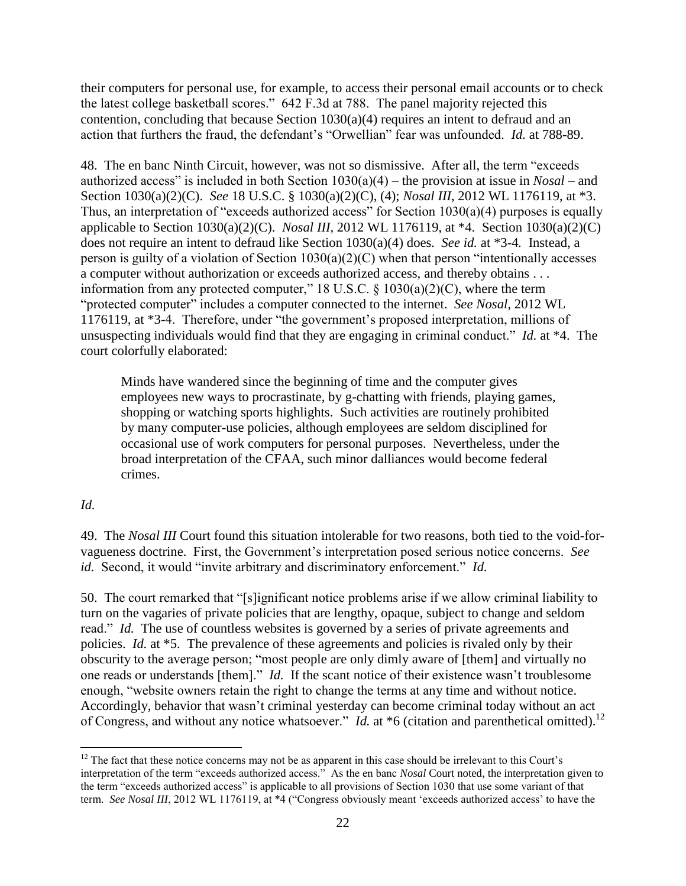their computers for personal use, for example, to access their personal email accounts or to check the latest college basketball scores." 642 F.3d at 788. The panel majority rejected this contention, concluding that because Section 1030(a)(4) requires an intent to defraud and an action that furthers the fraud, the defendant's "Orwellian" fear was unfounded. *Id.* at 788-89.

48. The en banc Ninth Circuit, however, was not so dismissive. After all, the term "exceeds authorized access" is included in both Section 1030(a)(4) – the provision at issue in *Nosal* – and Section 1030(a)(2)(C). *See* 18 U.S.C. § 1030(a)(2)(C), (4); *Nosal III*, 2012 WL 1176119, at \*3. Thus, an interpretation of "exceeds authorized access" for Section 1030(a)(4) purposes is equally applicable to Section 1030(a)(2)(C). *Nosal III*, 2012 WL 1176119, at \*4. Section 1030(a)(2)(C) does not require an intent to defraud like Section 1030(a)(4) does. *See id.* at \*3-4*.* Instead, a person is guilty of a violation of Section 1030(a)(2)(C) when that person "intentionally accesses a computer without authorization or exceeds authorized access, and thereby obtains . . . information from any protected computer," 18 U.S.C.  $\S$  1030(a)(2)(C), where the term "protected computer" includes a computer connected to the internet. *See Nosal*, 2012 WL 1176119, at \*3-4. Therefore, under "the government's proposed interpretation, millions of unsuspecting individuals would find that they are engaging in criminal conduct." *Id.* at \*4. The court colorfully elaborated:

Minds have wandered since the beginning of time and the computer gives employees new ways to procrastinate, by g-chatting with friends, playing games, shopping or watching sports highlights. Such activities are routinely prohibited by many computer-use policies, although employees are seldom disciplined for occasional use of work computers for personal purposes. Nevertheless, under the broad interpretation of the CFAA, such minor dalliances would become federal crimes.

### *Id.*

 $\overline{a}$ 

49. The *Nosal III* Court found this situation intolerable for two reasons, both tied to the void-forvagueness doctrine. First, the Government's interpretation posed serious notice concerns. *See id.* Second, it would "invite arbitrary and discriminatory enforcement." *Id.*

50. The court remarked that "[s]ignificant notice problems arise if we allow criminal liability to turn on the vagaries of private policies that are lengthy, opaque, subject to change and seldom read." *Id.* The use of countless websites is governed by a series of private agreements and policies. *Id.* at \*5. The prevalence of these agreements and policies is rivaled only by their obscurity to the average person; "most people are only dimly aware of [them] and virtually no one reads or understands [them]." *Id.* If the scant notice of their existence wasn't troublesome enough, "website owners retain the right to change the terms at any time and without notice. Accordingly, behavior that wasn't criminal yesterday can become criminal today without an act of Congress, and without any notice whatsoever." *Id.* at \*6 (citation and parenthetical omitted).<sup>12</sup>

 $12$  The fact that these notice concerns may not be as apparent in this case should be irrelevant to this Court's interpretation of the term "exceeds authorized access." As the en banc *Nosal* Court noted, the interpretation given to the term "exceeds authorized access" is applicable to all provisions of Section 1030 that use some variant of that term. *See Nosal III*, 2012 WL 1176119, at \*4 ("Congress obviously meant 'exceeds authorized access' to have the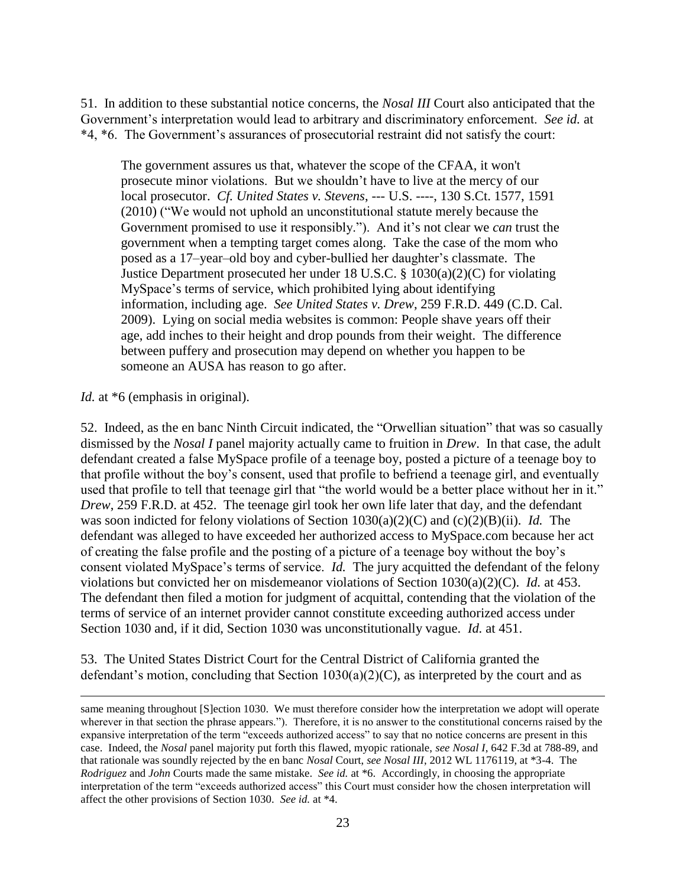51. In addition to these substantial notice concerns, the *Nosal III* Court also anticipated that the Government's interpretation would lead to arbitrary and discriminatory enforcement. *See id.* at \*4, \*6. The Government's assurances of prosecutorial restraint did not satisfy the court:

The government assures us that, whatever the scope of the CFAA, it won't prosecute minor violations. But we shouldn't have to live at the mercy of our local prosecutor. *Cf. United States v. Stevens*, --- U.S. ----, 130 S.Ct. 1577, 1591 (2010) ("We would not uphold an unconstitutional statute merely because the Government promised to use it responsibly."). And it's not clear we *can* trust the government when a tempting target comes along. Take the case of the mom who posed as a 17–year–old boy and cyber-bullied her daughter's classmate. The Justice Department prosecuted her under 18 U.S.C. § 1030(a)(2)(C) for violating MySpace's terms of service, which prohibited lying about identifying information, including age. *See United States v. Drew*, 259 F.R.D. 449 (C.D. Cal. 2009). Lying on social media websites is common: People shave years off their age, add inches to their height and drop pounds from their weight. The difference between puffery and prosecution may depend on whether you happen to be someone an AUSA has reason to go after.

*Id.* at  $*6$  (emphasis in original).

 $\overline{a}$ 

52. Indeed, as the en banc Ninth Circuit indicated, the "Orwellian situation" that was so casually dismissed by the *Nosal I* panel majority actually came to fruition in *Drew*. In that case, the adult defendant created a false MySpace profile of a teenage boy, posted a picture of a teenage boy to that profile without the boy's consent, used that profile to befriend a teenage girl, and eventually used that profile to tell that teenage girl that "the world would be a better place without her in it." *Drew*, 259 F.R.D. at 452. The teenage girl took her own life later that day, and the defendant was soon indicted for felony violations of Section 1030(a)(2)(C) and (c)(2)(B)(ii). *Id.* The defendant was alleged to have exceeded her authorized access to MySpace.com because her act of creating the false profile and the posting of a picture of a teenage boy without the boy's consent violated MySpace's terms of service. *Id.* The jury acquitted the defendant of the felony violations but convicted her on misdemeanor violations of Section 1030(a)(2)(C). *Id.* at 453. The defendant then filed a motion for judgment of acquittal, contending that the violation of the terms of service of an internet provider cannot constitute exceeding authorized access under Section 1030 and, if it did, Section 1030 was unconstitutionally vague. *Id.* at 451.

53. The United States District Court for the Central District of California granted the defendant's motion, concluding that Section  $1030(a)(2)(C)$ , as interpreted by the court and as

same meaning throughout [S]ection 1030. We must therefore consider how the interpretation we adopt will operate wherever in that section the phrase appears."). Therefore, it is no answer to the constitutional concerns raised by the expansive interpretation of the term "exceeds authorized access" to say that no notice concerns are present in this case. Indeed, the *Nosal* panel majority put forth this flawed, myopic rationale, *see Nosal I*, 642 F.3d at 788-89, and that rationale was soundly rejected by the en banc *Nosal* Court, *see Nosal III*, 2012 WL 1176119, at \*3-4. The *Rodriguez* and *John* Courts made the same mistake. *See id.* at \*6. Accordingly, in choosing the appropriate interpretation of the term "exceeds authorized access" this Court must consider how the chosen interpretation will affect the other provisions of Section 1030. *See id.* at \*4.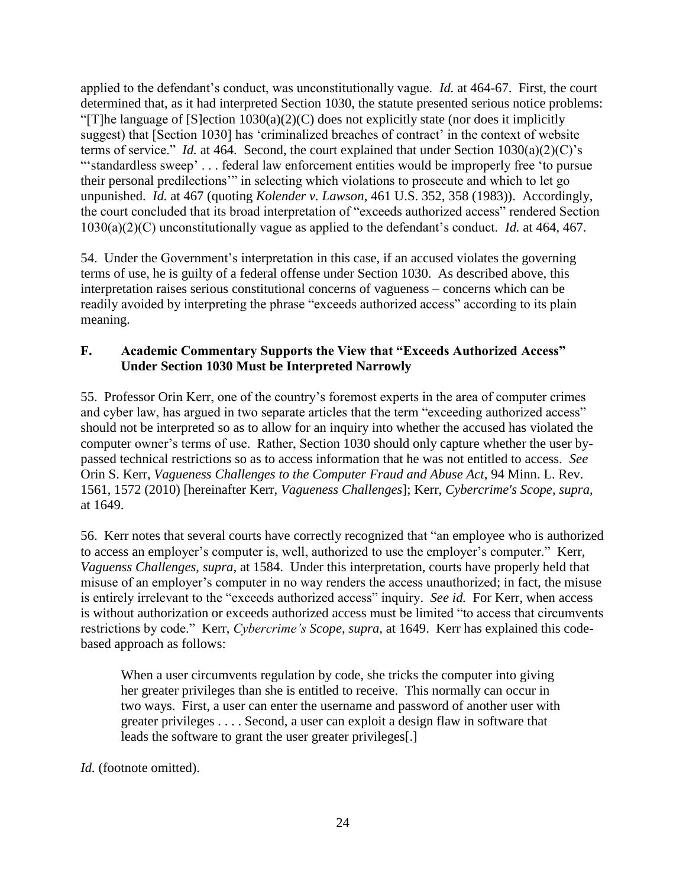applied to the defendant's conduct, was unconstitutionally vague. *Id.* at 464-67. First, the court determined that, as it had interpreted Section 1030, the statute presented serious notice problems: "[T]he language of [S]ection  $1030(a)(2)(C)$  does not explicitly state (nor does it implicitly suggest) that [Section 1030] has 'criminalized breaches of contract' in the context of website terms of service." *Id.* at 464. Second, the court explained that under Section 1030(a)(2)(C)'s "'standardless sweep' . . . federal law enforcement entities would be improperly free 'to pursue their personal predilections'" in selecting which violations to prosecute and which to let go unpunished. *Id.* at 467 (quoting *Kolender v. Lawson*, 461 U.S. 352, 358 (1983)). Accordingly, the court concluded that its broad interpretation of "exceeds authorized access" rendered Section 1030(a)(2)(C) unconstitutionally vague as applied to the defendant's conduct. *Id.* at 464, 467.

54. Under the Government's interpretation in this case, if an accused violates the governing terms of use, he is guilty of a federal offense under Section 1030. As described above, this interpretation raises serious constitutional concerns of vagueness – concerns which can be readily avoided by interpreting the phrase "exceeds authorized access" according to its plain meaning.

### **F. Academic Commentary Supports the View that "Exceeds Authorized Access" Under Section 1030 Must be Interpreted Narrowly**

55. Professor Orin Kerr, one of the country's foremost experts in the area of computer crimes and cyber law, has argued in two separate articles that the term "exceeding authorized access" should not be interpreted so as to allow for an inquiry into whether the accused has violated the computer owner's terms of use. Rather, Section 1030 should only capture whether the user bypassed technical restrictions so as to access information that he was not entitled to access. *See* Orin S. Kerr, *Vagueness Challenges to the Computer Fraud and Abuse Act*, 94 Minn. L. Rev. 1561, 1572 (2010) [hereinafter Kerr, *Vagueness Challenges*]; Kerr, *Cybercrime's Scope*, *supra*, at 1649.

56. Kerr notes that several courts have correctly recognized that "an employee who is authorized to access an employer's computer is, well, authorized to use the employer's computer." Kerr, *Vaguenss Challenges*, *supra*, at 1584. Under this interpretation, courts have properly held that misuse of an employer's computer in no way renders the access unauthorized; in fact, the misuse is entirely irrelevant to the "exceeds authorized access" inquiry. *See id.* For Kerr, when access is without authorization or exceeds authorized access must be limited "to access that circumvents restrictions by code." Kerr, *Cybercrime's Scope*, *supra*, at 1649. Kerr has explained this codebased approach as follows:

When a user circumvents regulation by code, she tricks the computer into giving her greater privileges than she is entitled to receive. This normally can occur in two ways. First, a user can enter the username and password of another user with greater privileges . . . . Second, a user can exploit a design flaw in software that leads the software to grant the user greater privileges[.]

*Id.* (footnote omitted).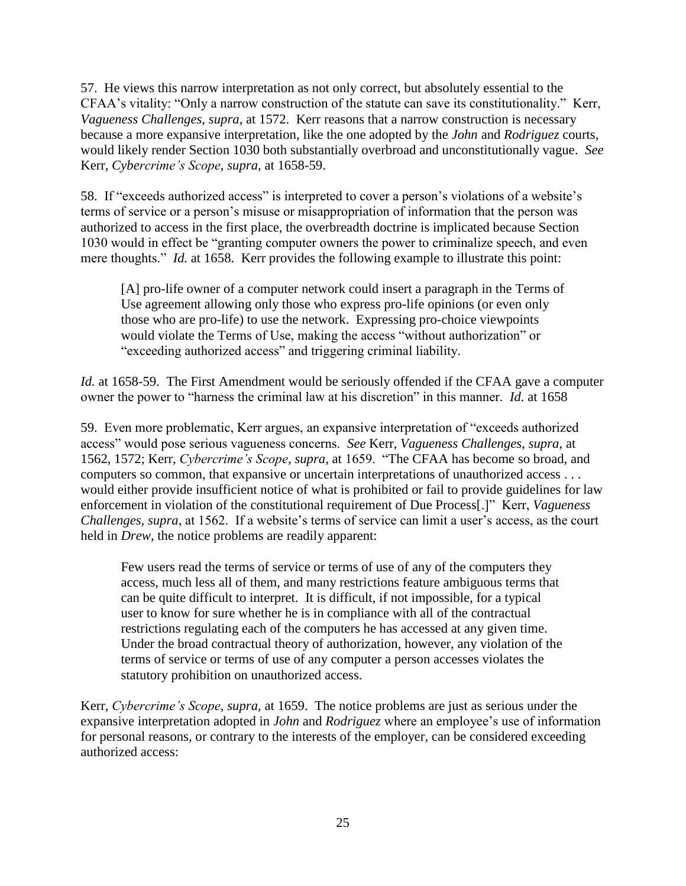57. He views this narrow interpretation as not only correct, but absolutely essential to the CFAA's vitality: "Only a narrow construction of the statute can save its constitutionality." Kerr, *Vagueness Challenges*, *supra*, at 1572. Kerr reasons that a narrow construction is necessary because a more expansive interpretation, like the one adopted by the *John* and *Rodriguez* courts, would likely render Section 1030 both substantially overbroad and unconstitutionally vague. *See* Kerr, *Cybercrime's Scope*, *supra*, at 1658-59.

58. If "exceeds authorized access" is interpreted to cover a person's violations of a website's terms of service or a person's misuse or misappropriation of information that the person was authorized to access in the first place, the overbreadth doctrine is implicated because Section 1030 would in effect be "granting computer owners the power to criminalize speech, and even mere thoughts." *Id.* at 1658. Kerr provides the following example to illustrate this point:

[A] pro-life owner of a computer network could insert a paragraph in the Terms of Use agreement allowing only those who express pro-life opinions (or even only those who are pro-life) to use the network. Expressing pro-choice viewpoints would violate the Terms of Use, making the access "without authorization" or "exceeding authorized access" and triggering criminal liability.

*Id.* at 1658-59. The First Amendment would be seriously offended if the CFAA gave a computer owner the power to "harness the criminal law at his discretion" in this manner. *Id.* at 1658

59. Even more problematic, Kerr argues, an expansive interpretation of "exceeds authorized access" would pose serious vagueness concerns. *See* Kerr, *Vagueness Challenges*, *supra*, at 1562, 1572; Kerr, *Cybercrime's Scope*, *supra*, at 1659. "The CFAA has become so broad, and computers so common, that expansive or uncertain interpretations of unauthorized access . . . would either provide insufficient notice of what is prohibited or fail to provide guidelines for law enforcement in violation of the constitutional requirement of Due Process[.]" Kerr, *Vagueness Challenges*, *supra*, at 1562. If a website's terms of service can limit a user's access, as the court held in *Drew*, the notice problems are readily apparent:

Few users read the terms of service or terms of use of any of the computers they access, much less all of them, and many restrictions feature ambiguous terms that can be quite difficult to interpret. It is difficult, if not impossible, for a typical user to know for sure whether he is in compliance with all of the contractual restrictions regulating each of the computers he has accessed at any given time. Under the broad contractual theory of authorization, however, any violation of the terms of service or terms of use of any computer a person accesses violates the statutory prohibition on unauthorized access.

Kerr, *Cybercrime's Scope*, *supra*, at 1659. The notice problems are just as serious under the expansive interpretation adopted in *John* and *Rodriguez* where an employee's use of information for personal reasons, or contrary to the interests of the employer, can be considered exceeding authorized access: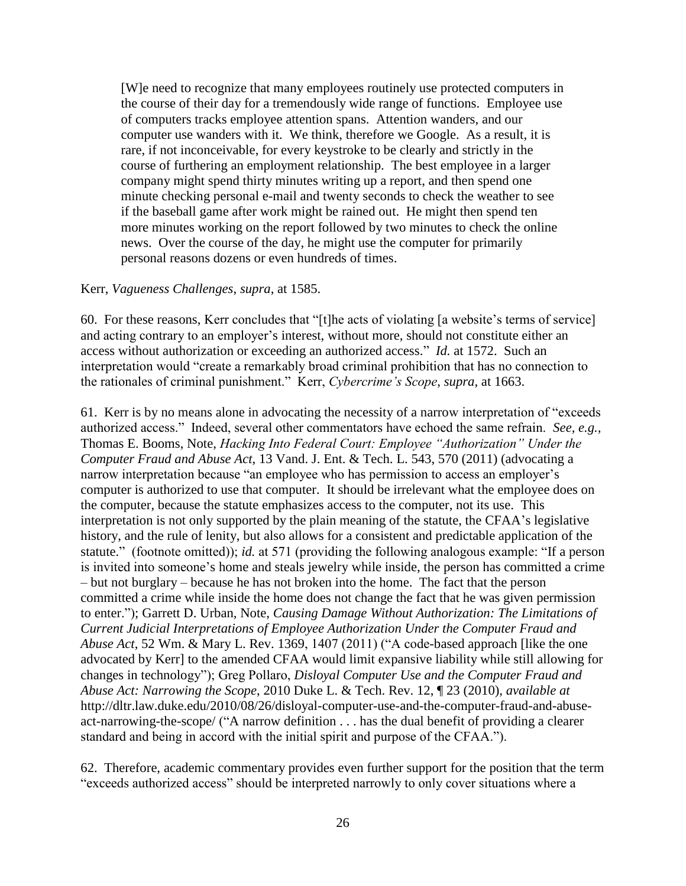[W]e need to recognize that many employees routinely use protected computers in the course of their day for a tremendously wide range of functions. Employee use of computers tracks employee attention spans. Attention wanders, and our computer use wanders with it. We think, therefore we Google. As a result, it is rare, if not inconceivable, for every keystroke to be clearly and strictly in the course of furthering an employment relationship. The best employee in a larger company might spend thirty minutes writing up a report, and then spend one minute checking personal e-mail and twenty seconds to check the weather to see if the baseball game after work might be rained out. He might then spend ten more minutes working on the report followed by two minutes to check the online news. Over the course of the day, he might use the computer for primarily personal reasons dozens or even hundreds of times.

#### Kerr, *Vagueness Challenges*, *supra*, at 1585.

60. For these reasons, Kerr concludes that "[t]he acts of violating [a website's terms of service] and acting contrary to an employer's interest, without more, should not constitute either an access without authorization or exceeding an authorized access." *Id.* at 1572. Such an interpretation would "create a remarkably broad criminal prohibition that has no connection to the rationales of criminal punishment." Kerr, *Cybercrime's Scope*, *supra*, at 1663.

61. Kerr is by no means alone in advocating the necessity of a narrow interpretation of "exceeds authorized access." Indeed, several other commentators have echoed the same refrain. *See, e.g.,*  Thomas E. Booms, Note, *Hacking Into Federal Court: Employee "Authorization" Under the Computer Fraud and Abuse Act*, 13 Vand. J. Ent. & Tech. L. 543, 570 (2011) (advocating a narrow interpretation because "an employee who has permission to access an employer's computer is authorized to use that computer. It should be irrelevant what the employee does on the computer, because the statute emphasizes access to the computer, not its use. This interpretation is not only supported by the plain meaning of the statute, the CFAA's legislative history, and the rule of lenity, but also allows for a consistent and predictable application of the statute." (footnote omitted)); *id.* at 571 (providing the following analogous example: "If a person is invited into someone's home and steals jewelry while inside, the person has committed a crime – but not burglary – because he has not broken into the home. The fact that the person committed a crime while inside the home does not change the fact that he was given permission to enter."); Garrett D. Urban, Note, *Causing Damage Without Authorization: The Limitations of Current Judicial Interpretations of Employee Authorization Under the Computer Fraud and Abuse Act*, 52 Wm. & Mary L. Rev. 1369, 1407 (2011) ("A code-based approach [like the one advocated by Kerr] to the amended CFAA would limit expansive liability while still allowing for changes in technology"); Greg Pollaro, *Disloyal Computer Use and the Computer Fraud and Abuse Act: Narrowing the Scope*, 2010 Duke L. & Tech. Rev. 12, ¶ 23 (2010), *available at*  http://dltr.law.duke.edu/2010/08/26/disloyal-computer-use-and-the-computer-fraud-and-abuseact-narrowing-the-scope/ ("A narrow definition . . . has the dual benefit of providing a clearer standard and being in accord with the initial spirit and purpose of the CFAA.").

62. Therefore, academic commentary provides even further support for the position that the term "exceeds authorized access" should be interpreted narrowly to only cover situations where a